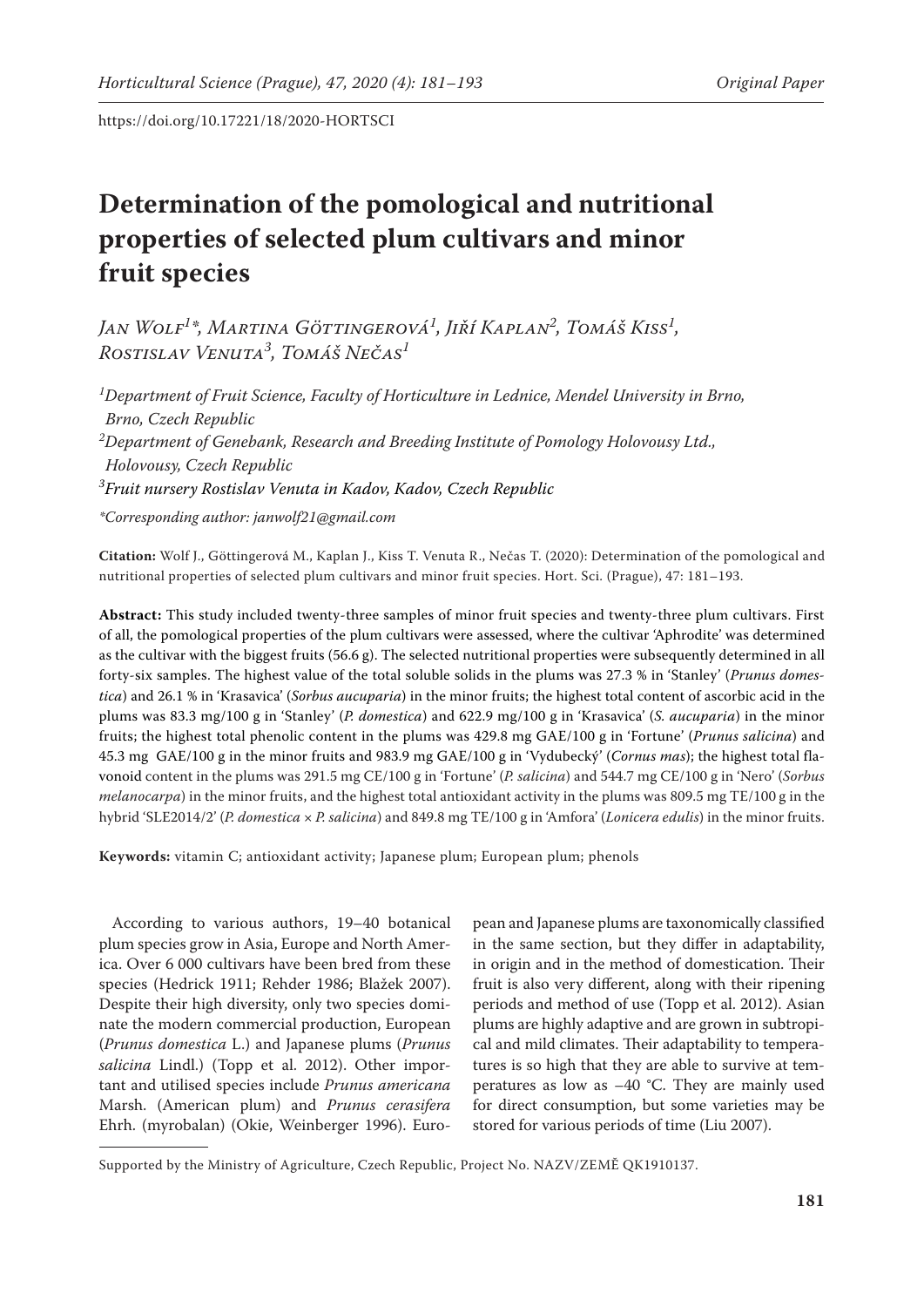# **Determination of the pomological and nutritional properties of selected plum cultivars and minor fruit species**

*Jan Wolf<sup>1</sup> \*, Martina Göttingerová<sup>1</sup> , Jiří Kaplan2 , Tomáš Kiss1 , Rostislav Venuta<sup>3</sup> , Tomáš Nečas<sup>1</sup>*

*1 Department of Fruit Science, Faculty of Horticulture in Lednice, Mendel University in Brno, Brno, Czech Republic 2 Department of Genebank, Research and Breeding Institute of Pomology Holovousy Ltd., Holovousy, Czech Republic 3 Fruit nursery Rostislav Venuta in Kadov, Kadov, Czech Republic*

*\*Corresponding author: janwolf21@gmail.com*

**Citation:** Wolf J., Göttingerová M., Kaplan J., Kiss T. Venuta R., Nečas T. (2020): Determination of the pomological and nutritional properties of selected plum cultivars and minor fruit species. Hort. Sci. (Prague), 47: 181–193.

**Abstract:** This study included twenty-three samples of minor fruit species and twenty-three plum cultivars. First of all, the pomological properties of the plum cultivars were assessed, where the cultivar 'Aphrodite' was determined as the cultivar with the biggest fruits  $(56.6 g)$ . The selected nutritional properties were subsequently determined in all forty-six samples. The highest value of the total soluble solids in the plums was 27.3 % in 'Stanley' (*Prunus domestica*) and 26.1 % in 'Krasavica' (*Sorbus aucuparia*) in the minor fruits; the highest total content of ascorbic acid in the plums was 83.3 mg/100 g in 'Stanley' (*P. domestica*) and 622.9 mg/100 g in 'Krasavica' (*S. aucuparia*) in the minor fruits; the highest total phenolic content in the plums was 429.8 mg GAE/100 g in 'Fortune' (*Prunus salicina*) and 45.3 mg GAE/100 g in the minor fruits and 983.9 mg GAE/100 g in 'Vydubecký' (*Cornus mas*); the highest total flavonoid content in the plums was 291.5 mg CE/100 g in 'Fortune' (*P. salicina*) and 544.7 mg CE/100 g in 'Nero' (*Sorbus melanocarpa*) in the minor fruits, and the highest total antioxidant activity in the plums was 809.5 mg TE/100 g in the hybrid 'SLE2014/2' (*P. domestica* × *P. salicina*) and 849.8 mg TE/100 g in 'Amfora' (*Lonicera edulis*) in the minor fruits.

**Keywords:** vitamin C; antioxidant activity; Japanese plum; European plum; phenols

According to various authors, 19–40 botanical plum species grow in Asia, Europe and North America. Over 6 000 cultivars have been bred from these species (Hedrick 1911; Rehder 1986; Blažek 2007). Despite their high diversity, only two species dominate the modern commercial production, European (*Prunus domestica* L.) and Japanese plums (*Prunus salicina* Lindl.) (Topp et al. 2012). Other important and utilised species include *Prunus americana* Marsh. (American plum) and *Prunus cerasifera* Ehrh. (myrobalan) (Okie, Weinberger 1996). Euro-

pean and Japanese plums are taxonomically classified in the same section, but they differ in adaptability, in origin and in the method of domestication. Their fruit is also very different, along with their ripening periods and method of use (Topp et al. 2012). Asian plums are highly adaptive and are grown in subtropical and mild climates. Their adaptability to temperatures is so high that they are able to survive at temperatures as low as  $-40$  °C. They are mainly used for direct consumption, but some varieties may be stored for various periods of time (Liu 2007).

Supported by the Ministry of Agriculture, Czech Republic, Project No. NAZV/ZEMĚ QK1910137.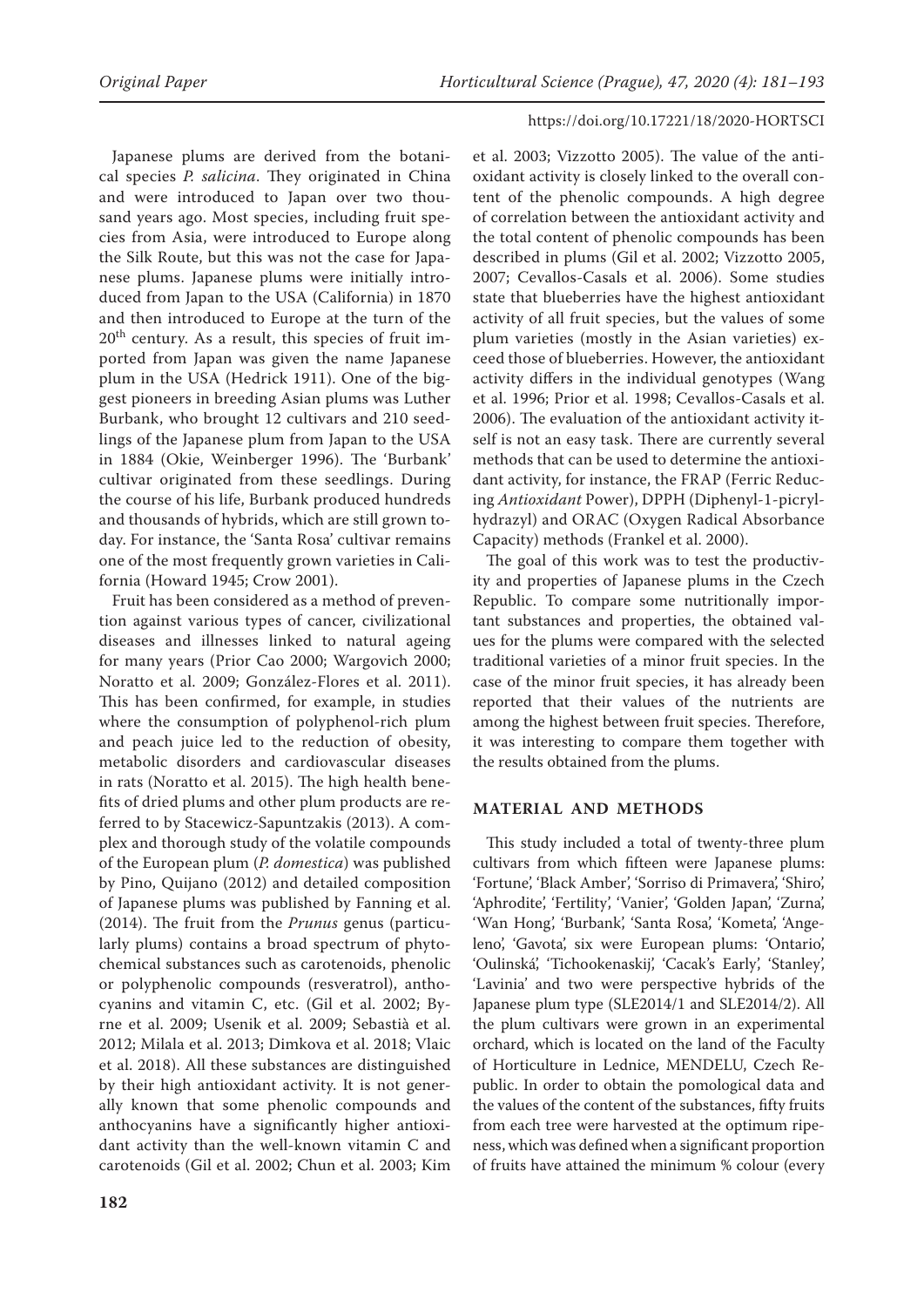Japanese plums are derived from the botanical species *P. salicina*. They originated in China and were introduced to Japan over two thousand years ago. Most species, including fruit species from Asia, were introduced to Europe along the Silk Route, but this was not the case for Japanese plums. Japanese plums were initially introduced from Japan to the USA (California) in 1870 and then introduced to Europe at the turn of the  $20<sup>th</sup>$  century. As a result, this species of fruit imported from Japan was given the name Japanese plum in the USA (Hedrick 1911). One of the biggest pioneers in breeding Asian plums was Luther Burbank, who brought 12 cultivars and 210 seedlings of the Japanese plum from Japan to the USA in 1884 (Okie, Weinberger 1996). The 'Burbank' cultivar originated from these seedlings. During the course of his life, Burbank produced hundreds and thousands of hybrids, which are still grown today. For instance, the 'Santa Rosa' cultivar remains one of the most frequently grown varieties in California (Howard 1945; Crow 2001).

Fruit has been considered as a method of prevention against various types of cancer, civilizational diseases and illnesses linked to natural ageing for many years (Prior Cao 2000; Wargovich 2000; Noratto et al. 2009; González-Flores et al. 2011). This has been confirmed, for example, in studies where the consumption of polyphenol-rich plum and peach juice led to the reduction of obesity, metabolic disorders and cardiovascular diseases in rats (Noratto et al. 2015). The high health benefits of dried plums and other plum products are referred to by Stacewicz-Sapuntzakis (2013). A complex and thorough study of the volatile compounds of the European plum (*P. domestica*) was published by Pino, Quijano (2012) and detailed composition of Japanese plums was published by Fanning et al. (2014). The fruit from the *Prunus* genus (particularly plums) contains a broad spectrum of phytochemical substances such as carotenoids, phenolic or polyphenolic compounds (resveratrol), anthocyanins and vitamin C, etc. (Gil et al. 2002; Byrne et al. 2009; Usenik et al. 2009; Sebastià et al. 2012; Milala et al. 2013; Dimkova et al. 2018; Vlaic et al. 2018). All these substances are distinguished by their high antioxidant activity. It is not generally known that some phenolic compounds and anthocyanins have a significantly higher antioxidant activity than the well-known vitamin C and carotenoids (Gil et al. 2002; Chun et al. 2003; Kim

et al. 2003; Vizzotto 2005). The value of the antioxidant activity is closely linked to the overall content of the phenolic compounds. A high degree of correlation between the antioxidant activity and the total content of phenolic compounds has been described in plums (Gil et al. 2002; Vizzotto 2005, 2007; Cevallos-Casals et al. 2006). Some studies state that blueberries have the highest antioxidant activity of all fruit species, but the values of some plum varieties (mostly in the Asian varieties) exceed those of blueberries. However, the antioxidant activity differs in the individual genotypes (Wang et al. 1996; Prior et al. 1998; Cevallos-Casals et al. 2006). The evaluation of the antioxidant activity itself is not an easy task. There are currently several methods that can be used to determine the antioxidant activity, for instance, the FRAP (Ferric Reducing *Antioxidant* Power), DPPH (Diphenyl-1-picrylhydrazyl) and ORAC (Oxygen Radical Absorbance Capacity) methods (Frankel et al. 2000).

The goal of this work was to test the productivity and properties of Japanese plums in the Czech Republic. To compare some nutritionally important substances and properties, the obtained values for the plums were compared with the selected traditional varieties of a minor fruit species. In the case of the minor fruit species, it has already been reported that their values of the nutrients are among the highest between fruit species. Therefore, it was interesting to compare them together with the results obtained from the plums.

#### **MATERIAL AND METHODS**

This study included a total of twenty-three plum cultivars from which fifteen were Japanese plums: 'Fortune', 'Black Amber', 'Sorriso di Primavera', 'Shiro', 'Aphrodite', 'Fertility', 'Vanier', 'Golden Japan', 'Zurna', 'Wan Hong', 'Burbank', 'Santa Rosa', 'Kometa', 'Angeleno', 'Gavota', six were European plums: 'Ontario', 'Oulinská', 'Tichookenaskij', 'Cacak's Early', 'Stanley', 'Lavinia' and two were perspective hybrids of the Japanese plum type (SLE2014/1 and SLE2014/2). All the plum cultivars were grown in an experimental orchard, which is located on the land of the Faculty of Horticulture in Lednice, MENDELU, Czech Republic. In order to obtain the pomological data and the values of the content of the substances, fifty fruits from each tree were harvested at the optimum ripeness, which was defined when a significant proportion of fruits have attained the minimum % colour (every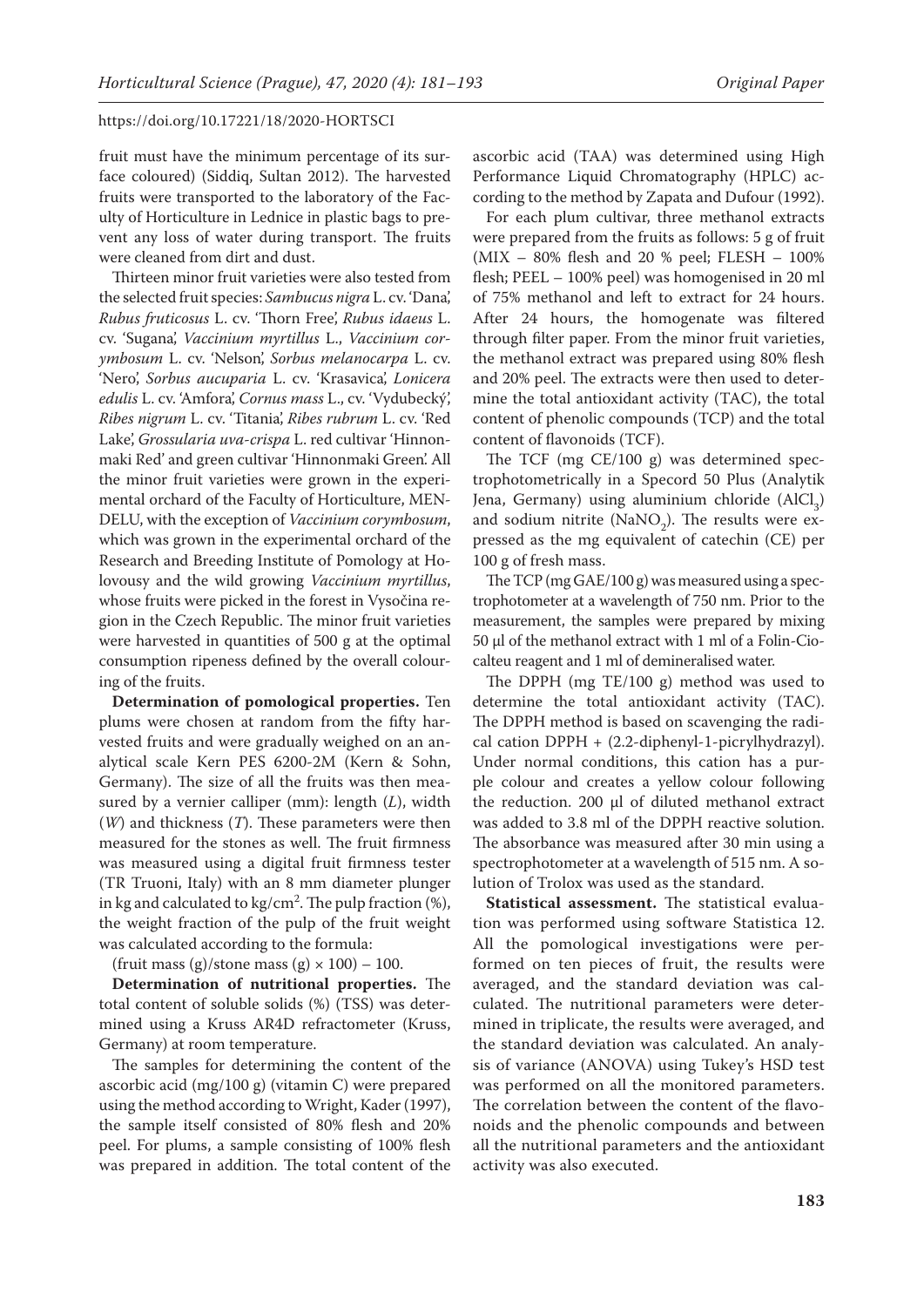fruit must have the minimum percentage of its surface coloured) (Siddiq, Sultan 2012). The harvested fruits were transported to the laboratory of the Faculty of Horticulture in Lednice in plastic bags to prevent any loss of water during transport. The fruits were cleaned from dirt and dust.

Thirteen minor fruit varieties were also tested from the selected fruit species: *Sambucus nigra* L. cv. 'Dana', *Rubus fruticosus* L. cv. 'Thorn Free', *Rubus idaeus* L. cv. 'Sugana', *Vaccinium myrtillus* L., *Vaccinium corymbosum* L. cv. 'Nelson', *Sorbus melanocarpa* L. cv. 'Nero', *Sorbus aucuparia* L. cv. 'Krasavica', *Lonicera edulis* L. cv. 'Amfora', *Cornus mass* L., cv. 'Vydubecký', *Ribes nigrum* L. cv. 'Titania', *Ribes rubrum* L. cv. 'Red Lake', *Grossularia uva-crispa* L. red cultivar 'Hinnonmaki Red' and green cultivar 'Hinnonmaki Green'. All the minor fruit varieties were grown in the experimental orchard of the Faculty of Horticulture, MEN-DELU, with the exception of *Vaccinium corymbosum*, which was grown in the experimental orchard of the Research and Breeding Institute of Pomology at Holovousy and the wild growing *Vaccinium myrtillus*, whose fruits were picked in the forest in Vysočina region in the Czech Republic. The minor fruit varieties were harvested in quantities of 500 g at the optimal consumption ripeness defined by the overall colouring of the fruits.

**Determination of pomological properties.** Ten plums were chosen at random from the fifty harvested fruits and were gradually weighed on an analytical scale Kern PES 6200-2M (Kern & Sohn, Germany). The size of all the fruits was then measured by a vernier calliper (mm): length (*L*), width (*W*) and thickness (*T*). These parameters were then measured for the stones as well. The fruit firmness was measured using a digital fruit firmness tester (TR Truoni, Italy) with an 8 mm diameter plunger in kg and calculated to kg/cm<sup>2</sup>. The pulp fraction  $(\%)$ , the weight fraction of the pulp of the fruit weight was calculated according to the formula:

(fruit mass (g)/stone mass (g)  $\times$  100) – 100.

**Determination of nutritional properties.** The total content of soluble solids (%) (TSS) was determined using a Kruss AR4D refractometer (Kruss, Germany) at room temperature.

The samples for determining the content of the ascorbic acid (mg/100 g) (vitamin C) were prepared using the method according to Wright, Kader (1997), the sample itself consisted of 80% flesh and 20% peel. For plums, a sample consisting of 100% flesh was prepared in addition. The total content of the

ascorbic acid (TAA) was determined using High Performance Liquid Chromatography (HPLC) according to the method by Zapata and Dufour (1992).

For each plum cultivar, three methanol extracts were prepared from the fruits as follows: 5 g of fruit (MIX – 80% flesh and 20 % peel; FLESH – 100% flesh; PEEL – 100% peel) was homogenised in 20 ml of 75% methanol and left to extract for 24 hours. After 24 hours, the homogenate was filtered through filter paper. From the minor fruit varieties, the methanol extract was prepared using 80% flesh and 20% peel. The extracts were then used to determine the total antioxidant activity (TAC), the total content of phenolic compounds (TCP) and the total content of flavonoids (TCF).

The TCF (mg CE/100 g) was determined spectrophotometrically in a Specord 50 Plus (Analytik Jena, Germany) using aluminium chloride  $(AICI_3)$ and sodium nitrite (NaNO<sub>2</sub>). The results were expressed as the mg equivalent of catechin (CE) per 100 g of fresh mass.

The TCP (mg GAE/100 g) was measured using a spectrophotometer at a wavelength of 750 nm. Prior to the measurement, the samples were prepared by mixing 50 μl of the methanol extract with 1 ml of a Folin-Ciocalteu reagent and 1 ml of demineralised water.

The DPPH (mg TE/100 g) method was used to determine the total antioxidant activity (TAC). The DPPH method is based on scavenging the radical cation DPPH + (2.2-diphenyl-1-picrylhydrazyl). Under normal conditions, this cation has a purple colour and creates a yellow colour following the reduction. 200 μl of diluted methanol extract was added to 3.8 ml of the DPPH reactive solution. The absorbance was measured after 30 min using a spectrophotometer at a wavelength of 515 nm. A solution of Trolox was used as the standard.

**Statistical assessment.** The statistical evaluation was performed using software Statistica 12. All the pomological investigations were performed on ten pieces of fruit, the results were averaged, and the standard deviation was calculated. The nutritional parameters were determined in triplicate, the results were averaged, and the standard deviation was calculated. An analysis of variance (ANOVA) using Tukey's HSD test was performed on all the monitored parameters. The correlation between the content of the flavonoids and the phenolic compounds and between all the nutritional parameters and the antioxidant activity was also executed.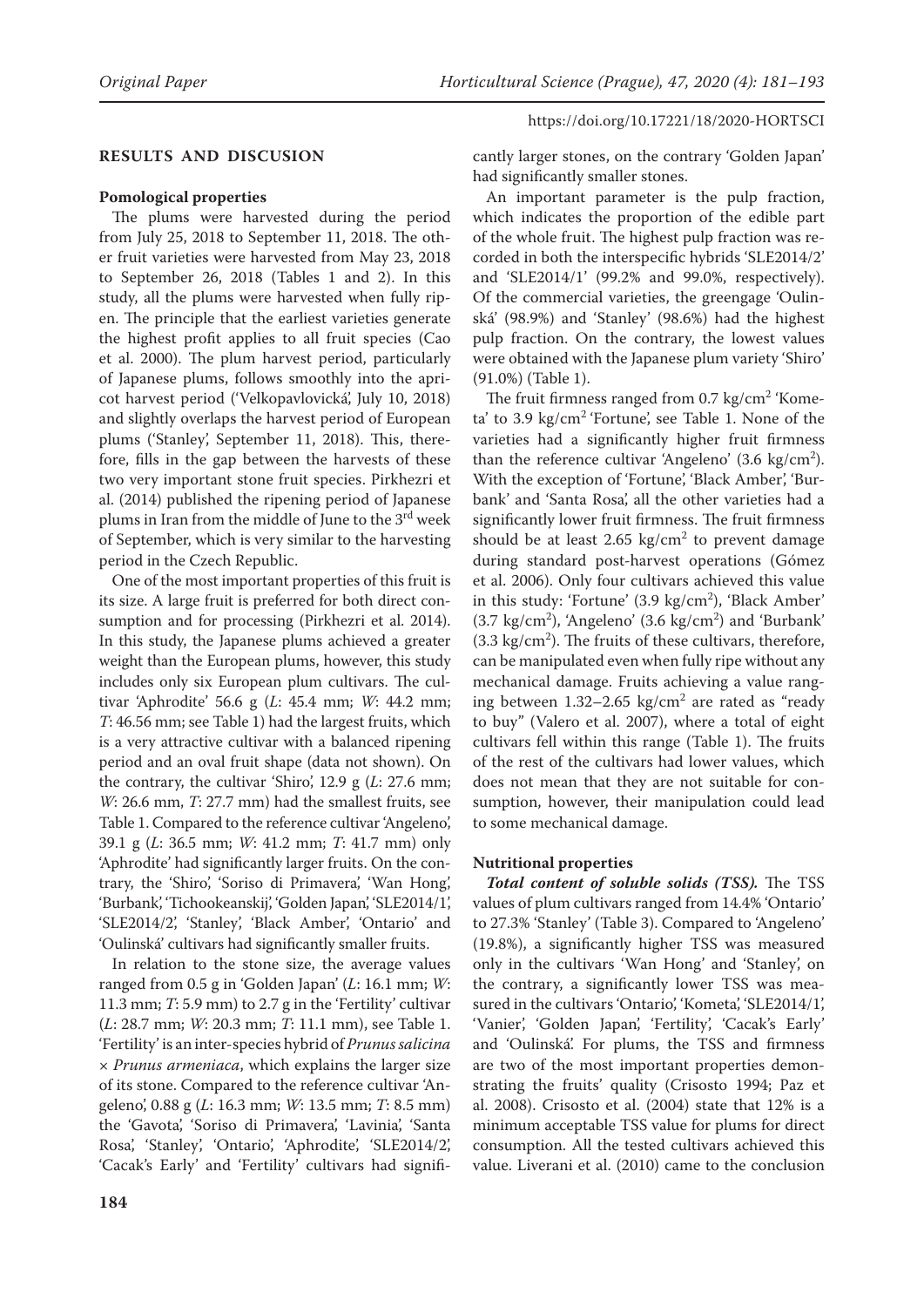# **RESULTS AND DISCUSION**

#### **Pomological properties**

The plums were harvested during the period from July 25, 2018 to September 11, 2018. The other fruit varieties were harvested from May 23, 2018 to September 26, 2018 (Tables 1 and 2). In this study, all the plums were harvested when fully ripen. The principle that the earliest varieties generate the highest profit applies to all fruit species (Cao et al. 2000). The plum harvest period, particularly of Japanese plums, follows smoothly into the apricot harvest period ('Velkopavlovická', July 10, 2018) and slightly overlaps the harvest period of European plums ('Stanley', September 11, 2018). This, therefore, fills in the gap between the harvests of these two very important stone fruit species. Pirkhezri et al. (2014) published the ripening period of Japanese plums in Iran from the middle of June to the 3<sup>rd</sup> week of September, which is very similar to the harvesting period in the Czech Republic.

One of the most important properties of this fruit is its size. A large fruit is preferred for both direct consumption and for processing (Pirkhezri et al. 2014). In this study, the Japanese plums achieved a greater weight than the European plums, however, this study includes only six European plum cultivars. The cultivar 'Aphrodite' 56.6 g (*L*: 45.4 mm; *W*: 44.2 mm; *T*: 46.56 mm; see Table 1) had the largest fruits, which is a very attractive cultivar with a balanced ripening period and an oval fruit shape (data not shown). On the contrary, the cultivar 'Shiro', 12.9 g (*L*: 27.6 mm; *W*: 26.6 mm, *T*: 27.7 mm) had the smallest fruits, see Table 1. Compared to the reference cultivar 'Angeleno', 39.1 g (*L*: 36.5 mm; *W*: 41.2 mm; *T*: 41.7 mm) only 'Aphrodite' had significantly larger fruits. On the contrary, the 'Shiro', 'Soriso di Primavera', 'Wan Hong', 'Burbank', 'Tichookeanskij', 'Golden Japan', 'SLE2014/1', 'SLE2014/2', 'Stanley', 'Black Amber', 'Ontario' and 'Oulinská' cultivars had significantly smaller fruits.

In relation to the stone size, the average values ranged from 0.5 g in 'Golden Japan' (*L*: 16.1 mm; *W*: 11.3 mm; *T*: 5.9 mm) to 2.7 g in the 'Fertility' cultivar (*L*: 28.7 mm; *W*: 20.3 mm; *T*: 11.1 mm), see Table 1. 'Fertility' is an inter-species hybrid of *Prunus salicina*  × *Prunus armeniaca*, which explains the larger size of its stone. Compared to the reference cultivar 'Angeleno', 0.88 g (*L*: 16.3 mm; *W*: 13.5 mm; *T*: 8.5 mm) the 'Gavota', 'Soriso di Primavera', 'Lavinia', 'Santa Rosa', 'Stanley', 'Ontario', 'Aphrodite', 'SLE2014/2', 'Cacak's Early' and 'Fertility' cultivars had signifi-

cantly larger stones, on the contrary 'Golden Japan' had significantly smaller stones.

An important parameter is the pulp fraction, which indicates the proportion of the edible part of the whole fruit. The highest pulp fraction was recorded in both the interspecific hybrids 'SLE2014/2' and 'SLE2014/1' (99.2% and 99.0%, respectively). Of the commercial varieties, the greengage 'Oulinská' (98.9%) and 'Stanley' (98.6%) had the highest pulp fraction. On the contrary, the lowest values were obtained with the Japanese plum variety 'Shiro' (91.0%) (Table 1).

The fruit firmness ranged from 0.7 kg/cm<sup>2</sup> 'Kometa' to 3.9 kg/cm<sup>2</sup> 'Fortune', see Table 1. None of the varieties had a significantly higher fruit firmness than the reference cultivar 'Angeleno'  $(3.6 \text{ kg/cm}^2)$ . With the exception of 'Fortune', 'Black Amber', 'Burbank' and 'Santa Rosa', all the other varieties had a significantly lower fruit firmness. The fruit firmness should be at least 2.65  $\text{kg/cm}^2$  to prevent damage during standard post-harvest operations (Gómez et al. 2006). Only four cultivars achieved this value in this study: 'Fortune' (3.9 kg/cm<sup>2</sup>), 'Black Amber'  $(3.7 \text{ kg/cm}^2)$ , 'Angeleno'  $(3.6 \text{ kg/cm}^2)$  and 'Burbank'  $(3.3 \text{ kg/cm}^2)$ . The fruits of these cultivars, therefore, can be manipulated even when fully ripe without any mechanical damage. Fruits achieving a value ranging between  $1.32-2.65$  kg/cm<sup>2</sup> are rated as "ready to buy" (Valero et al. 2007), where a total of eight cultivars fell within this range (Table 1). The fruits of the rest of the cultivars had lower values, which does not mean that they are not suitable for consumption, however, their manipulation could lead to some mechanical damage.

#### **Nutritional properties**

*Total content of soluble solids (TSS).* The TSS values of plum cultivars ranged from 14.4% 'Ontario' to 27.3% 'Stanley' (Table 3). Compared to 'Angeleno' (19.8%), a significantly higher TSS was measured only in the cultivars 'Wan Hong' and 'Stanley', on the contrary, a significantly lower TSS was measured in the cultivars 'Ontario', 'Kometa', 'SLE2014/1', 'Vanier', 'Golden Japan', 'Fertility', 'Cacak's Early' and 'Oulinská'. For plums, the TSS and firmness are two of the most important properties demonstrating the fruits' quality (Crisosto 1994; Paz et al. 2008). Crisosto et al. (2004) state that 12% is a minimum acceptable TSS value for plums for direct consumption. All the tested cultivars achieved this value. Liverani et al. (2010) came to the conclusion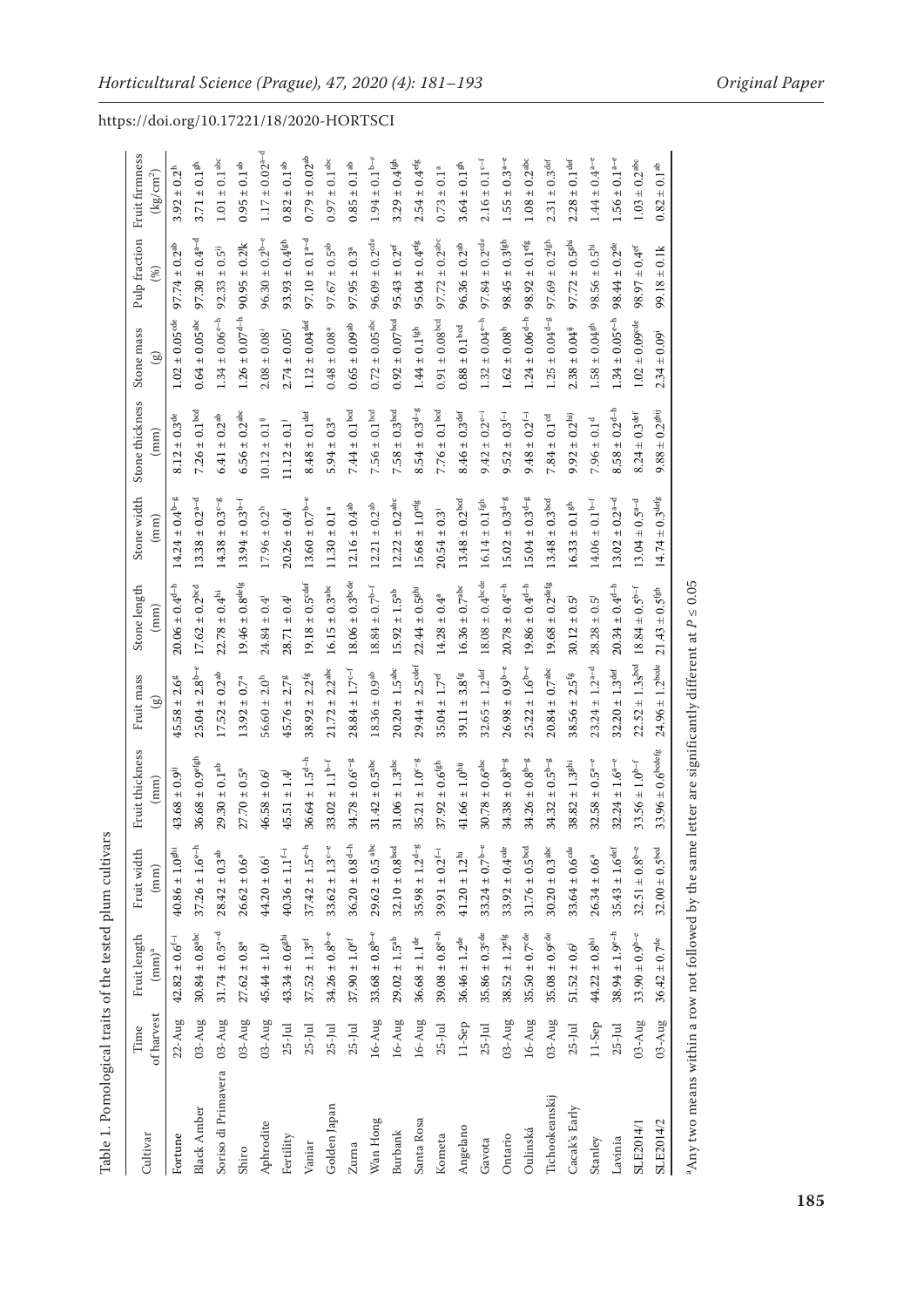| Table 1. Pomological traits of the tested plum cultivars |                    |                                |                                  |                                |                                  |                                 |                                |                                            |                                                     |                                |                                          |
|----------------------------------------------------------|--------------------|--------------------------------|----------------------------------|--------------------------------|----------------------------------|---------------------------------|--------------------------------|--------------------------------------------|-----------------------------------------------------|--------------------------------|------------------------------------------|
| Cultivar                                                 | of harvest<br>Time | Fruit length<br>$\rm (mm)^a$   | Fruit width<br>(mm)              | Fruit thickness<br>(mm)        | Fruit mass<br>$\mathbb{B}$       | Stone length<br>(mm)            | Stone width<br>(mm)            | Stone thickness<br>$\binom{mm}{\text{mm}}$ | Stone mass<br>$\circledcirc$                        | Pulp fraction<br>$(\%)$        | Fruit firmness<br>$\left(kg/cm^2\right)$ |
| Fortune                                                  | $22 - Aug$         | $42.82 \pm 0.6^{f-i}$          | $40.86 \pm 1.0^{ghi}$            | $43.68 \pm 0.9^{ij}$           | 2.6 <sup>g</sup><br>$45.58 \pm$  | $20.06 \pm 0.4^{d-h}$           | $14.24 \pm 0.4^{b-g}$          | $8.12 \pm 0.3^{\rm de}$                    | $1.02\pm0.05^{\rm cde}$                             | $97.74 \pm 0.2^{ab}$           | $3.92 \pm 0.2^h$                         |
| <b>Black Amber</b>                                       | $03 - Aug$         | $30.84\pm0.8^{\rm abc}$        | $37.26 \pm 1.6^{\mathrm{e-h}}$   | $36.68 \pm 0.9$ efgh           | $25.04 \pm 2.8^{b-e}$            | $17.62 \pm 0.2^{\rm bcd}$       | $13.38 \pm 0.2^{a-d}$          | $7.26 \pm 0.1^{\text{bcd}}$                | $0.64\pm0.05^{\rm abc}$                             | $97.30 \pm 0.4$ <sup>a-d</sup> | $3.71 \pm 0.1$ <sup>gh</sup>             |
| Soriso di Primavera                                      | $03 - Aug$         | $31.74 \pm 0.5^{a-d}$          | $28.42\pm0.3^{\rm ab}$           | $29.30 \pm 0.1^{ab}$           | $17.52 \pm 0.2$ <sup>ab</sup>    | $22.78\pm0.4^{\rm hi}$          | $14.38 \pm 0.3$ <sup>c-g</sup> | $6.41\pm0.2^{\rm ab}$                      | $1.34 \pm 0.06^{e-h}$                               | $92.33 \pm 0.5^{ij}$           | $1.01 \pm 0.1^{\text{abc}}$              |
| Shiro                                                    | $03 - Aug$         | $27.62 \pm 0.8^a$              | $26.62 \pm 0.6^a$                | $27.70 \pm 0.5^a$              | $13.92 \pm 0.7^a$                | $19.46 \pm 0.8^{\rm def}$       | $13.94 \pm 0.3^{b-f}$          | $6.56 \pm 0.2^{\rm abc}$                   | $1.26 \pm 0.07^{d-h}$                               | $90.95 \pm 0.2$ <sup>1</sup>   | $0.95 \pm 0.1^{ab}$                      |
| Aphrodite                                                | $03 - Aug$         | $45.44\pm1.0^{\mathrm{i}}$     | $44.20 \pm 0.6^{\circ}$          | $46.58 \pm 0.6$                | $56.60 \pm 2.0^h$                | $24.84 \pm 0.4$ <sup>1</sup>    | $17.96 \pm 0.2^h$              | $10.12\pm0.1^{\mathrm{i}\mathrm{j}}$       | $2.08 \pm 0.08$ <sup>1</sup>                        | $96.30 \pm 0.2^{b-e}$          | $1.17 \pm 0.02$ <sup>a-d</sup>           |
| Fertility                                                | $25$ -Jul          | $43.34 \pm 0.68^{\rm hi}$      | $40.36\pm1.1^{f-i}$              | $45.51 \pm 1.4$                | 2.78<br>$45.76 \pm$              | $28.71 \pm 0.4$                 | $20.26 \pm 0.4^{\text{i}}$     | $11.12 \pm 0.1$                            | $2.74 \pm 0.05$                                     | $93.93 \pm 0.4$ fgh            | $0.82\pm0.1^{\rm ab}$                    |
| Vaniar                                                   | $25$ -Jul          | $37.52 \pm 1.3^{\rm ef}$       | $37.42 \pm 1.5^{\mathrm{e-h}}$   | $36.64 \pm 1.5^{d-h}$          | $\pm 2.2$ <sup>fg</sup><br>38.92 | $19.18 \pm 0.5^{\rm cdef}$      | $13.60 \pm 0.7^{b-e}$          | $\pm$ 0.1 $\mathrm{det}$<br>8.48           | $\pm$ 0.04 $\mathrm{d}\mathrm{e}\mathrm{f}$<br>1.12 | $97.10 \pm 0.1$ <sup>a-d</sup> | $\pm 0.02$ <sup>ab</sup><br>0.79         |
| Golden Japan                                             | $25$ -Jul          | $34.26 \pm 0.8^{b-e}$          | $33.62 \pm 1.3^{\mathrm{c-e}}$   | $33.02\pm1.1^{\rm b-f}$        | $21.72 \pm 2.2^{\rm abc}$        | $16.15\pm0.3^{\rm abc}$         | $11.30 \pm 0.1^a$              | $5.94 \pm 0.3^a$                           | $0.48 \pm 0.08^{a}$                                 | $97.67 \pm 0.5^{ab}$           | $0.97 \pm 0.1^{\rm abc}$                 |
| Zurna                                                    | $25$ -Jul          | $37.90 \pm 1.0$ <sup>ef</sup>  | $36.20\pm0.8^{\mathrm{d-h}}$     | $34.78 \pm 0.6^{c-g}$          | $28.84 \pm 1.7^{c-f}$            | $18.06 \pm 0.3^{\mathrm{bcde}}$ | $12.16 \pm 0.4^{ab}$           | $7.44 \pm 0.1^{\rm{bcd}}$                  | $0.65 \pm 0.09$ <sup>ab</sup>                       | $97.95 \pm 0.3^a$              | $0.85\pm0.1^{\rm ab}$                    |
| Wan Hong                                                 | 16-Aug             | $33.68 \pm 0.8^{b-e}$          | $29.62 \pm 0.5^{\,\mathrm{abc}}$ | $31.42 \pm 0.5^{abc}$          | $18.36 \pm 0.9$ <sup>ab</sup>    | $18.84 \pm 0.7^{b-f}$           | $12.21 \pm 0.2^{ab}$           | $7.56\pm0.1^{\rm{bcd}}$                    | $0.72 \pm 0.05^{\rm abc}$                           | $96.09 \pm 0.2$ <sup>cde</sup> | $1.94 \pm 0.1^{b-e}$                     |
| Burbank                                                  | $16 - Aug$         | $29.02 \pm 1.5^{\rm ab}$       | $32.10\pm0.8^{\rm{bcd}}$         | $31.06 \pm 1.3^{\rm abc}$      | $20.20 \pm 1.5^{\rm abc}$        | $15.92 \pm 1.5^{\rm ab}$        | $12.22 \pm 0.2^{abc}$          | $7.58 \pm 0.3$ bod                         | $0.92 \pm 0.07^{\rm bad}$                           | $95.43 \pm 0.2$ <sup>ef</sup>  | $3.29 \pm 0.4$ fgh                       |
| Santa Rosa                                               | $16 - Aug$         | $36.68 \pm 1.1^{\rm de}$       | $35.98 \pm 1.2^{d-g}$            | $35.21 \pm 1.0^{c-g}$          | $29.44 \pm 2.5$ def              | $22.44 \pm 0.5$ <sup>ghi</sup>  | $15.68 \pm 1.0$ <sup>efg</sup> | $8.54 \pm 0.3$ <sup>d-g</sup>              | $1.44\pm0.1^{\rm fgh}$                              | $95.04 \pm 0.4$ <sup>efg</sup> | $2.54 \pm 0.4$ <sup>efg</sup>            |
| Kometa                                                   | $25$ -Jul          | $39.08 \pm 0.8$ <sup>e-h</sup> | 39.91 $\pm$ 0.2f <sup>-i</sup>   | $37.92 \pm 0.6$ <sup>fgh</sup> | $35.04 \pm 1.7^{\rm ef}$         | $14.28 \pm 0.4^a$               | $20.54 \pm 0.3$                | $7.76\pm0.1^{\rm{bcd}}$                    | $0.91\pm0.08^{\rm bcd}$                             | $97.72 \pm 0.2^{\text{abc}}$   | $0.73 \pm 0.1^a$                         |
| Angelano                                                 | $11-$ Sep          | $36.46 \pm 1.2^{\mathrm{de}}$  | $41.20\pm1.2^{\text{hi}}$        | $41.66 \pm 1.0^{\text{hij}}$   | 3.8 <sup>fg</sup><br>$39.11 \pm$ | $16.36\pm0.7^{\rm abc}$         | $13.48 \pm 0.2^{bcd}$          | $8.46 \pm 0.3^{\rm def}$                   | $0.88\pm0.1^{\rm{bcd}}$                             | $96.36 \pm 0.2^{ab}$           | $3.64 \pm 0.1$ <sup>gh</sup>             |
| Gavota                                                   | $25$ -Jul          | $35.86 \pm 0.3^{\rm cde}$      | $33.24 \pm 0.7^{b-e}$            | $30.78 \pm 0.6^{\rm abc}$      | $32.65 \pm 1.2^{\rm def}$        | $18.08 \pm 0.4^{\text{bcde}}$   | $16.14 \pm 0.1$ <sup>fgh</sup> | $\pm$ 0.2e <sup>-i</sup><br>9.42           | $1.32 \pm 0.04$ e-h                                 | $97.84 \pm 0.2$ <sup>cde</sup> | $2.16 \pm 0.1^{c-f}$                     |
| Ontario                                                  | $03 - Aug$         | $38.52 \pm 1.2^{\rm eff}$      | $33.92 \pm 0.4$ <sup>cde</sup>   | $34.38 \pm 0.8$ <sup>b-g</sup> | $26.98 \pm 0.9^{b-e}$            | $20.78 \pm 0.4$ e-h             | $15.02 \pm 0.3$ <sup>d-g</sup> | $9.52\pm0.3^{f-i}$                         | $1.62\pm0.08^{\rm h}$                               | $98.45 \pm 0.3$ <sup>fgh</sup> | $1.55 \pm 0.3^{a-e}$                     |
| Oulinská                                                 | 16-Aug             | $35.50\pm0.7^{\rm cde}$        | $31.76 \pm 0.5^{\rm bad}$        | $34.26 \pm 0.8^{b-g}$          | $25.22 \pm 1.6^{b-e}$            | $19.86 \pm 0.4^{d-h}$           | $15.04 \pm 0.3$ <sup>d-g</sup> | $\pm$ 0.2 <sup>f-i</sup><br>9.48           | $1.24 \pm 0.06^{d-h}$                               | $98.92 \pm 0.1$ <sup>efg</sup> | $1.08 \pm 0.2^{\text{abc}}$              |
| Tichookeanskij                                           | $03 - Aug$         | $35.08 \pm 0.9^{\rm cde}$      | $30.20\pm0.3^{\rm abc}$          | $34.32 \pm 0.5^{b-g}$          | $20.84\pm0.7^{\rm abc}$          | $19.68 \pm 0.2^{\rm defg}$      | $13.48 \pm 0.3^{\rm bcd}$      | $7.84\pm0.1^{\rm cd}$                      | $1.25 \pm 0.04^{d-g}$                               | $97.69 \pm 0.2$ <sup>fgh</sup> | $2.31 \pm 0.3$ <sup>def</sup>            |
| Cacak's Early                                            | $25$ -Jul          | $51.52 \pm 0.6$                | $33.64 \pm 0.6^{\rm cde}$        | $38.82 \pm 1.3$ <sup>ghi</sup> | $\pm$ 2.5 <sup>fg</sup><br>38.56 | $30.12 \pm 0.5$                 | $16.33 \pm 0.18^{h}$           | $\pm$ 0.2 <sup>hij</sup><br>9.92           | $2.38 \pm 0.04^{ij}$                                | $97.72 \pm 0.5$ ghi            | $t \pm 0.1$ def<br>2.28                  |
| Stanley                                                  | 11-Sep             | $44.22\,\pm\,0.8^{\rm hi}$     | $26.34 \pm 0.6^a$                | $32.58 \pm 0.5^{a-e}$          | $23.24 \pm 1.2^{a-d}$            | $28.28 \pm 0.5$                 | $14.06 \pm 0.1^{b-f}$          | $7.96 \pm 0.1^d$                           | $1.58 \pm 0.04$ <sup>gh</sup>                       | $98.56 \pm 0.5^{hi}$           | $1.44 \pm 0.4^{a-e}$                     |
| Lavinia                                                  | $25$ -Jul          | $38.94 \pm 1.9^{e-h}$          | $35.43 \pm 1.6$ def              | $32.24 \pm 1.6^{a-e}$          | $32.20 \pm 1.3$ <sup>def</sup>   | $20.34 \pm 0.4^{d-h}$           | $13.02 \pm 0.2$ <sup>a-d</sup> | $8.58 \pm 0.2^{d-h}$                       | $1.34 \pm 0.05^{e-h}$                               | $98.44 \pm 0.2^{\text{de}}$    | $1.56 \pm 0.1^{a-e}$                     |
| SLE2014/1                                                | $03 - Aug$         | $33.90 \pm 0.9^{b-c}$          | $32.51 \pm 0.8^{b-c}$            | $33.56 \pm 1.0^{b-f}$          | $22.52 \pm 1.3 sbcd$             | $18.84 \pm 0.5^{b-f}$           | $13.04 \pm 0.5^{a-d}$          | $8.24\pm0.3^{\rm def}$                     | $1.02 \pm 0.09$ <sup>ode</sup>                      | $98.97 \pm 0.4$ ef             | $1.03 \pm 0.2$ <sup>abc</sup>            |
| SLE2014/2                                                | $03 - Aug$         | $36.42 \pm 0.7^{\rm de}$       | $32.00 \pm 0.5^{bcd}$            | $33.96\pm0.6^{\text{bodefg}}$  | $24.96 \pm 1.2^{\text{bode}}$    | $21.43 \pm 0.5$ <sup>fgh</sup>  | $14.74\pm0.3^{\rm def}$        | $9.88\pm0.2^{\rm ghij}$                    | $2.34 \pm 0.09$ <sup>i</sup>                        | $99.18 \pm 0.1k$               | $0.82 \pm 0.1^{ab}$                      |
|                                                          |                    |                                |                                  |                                |                                  |                                 |                                |                                            |                                                     |                                |                                          |

Table 1. Pomological traits of the tested plum cultivars

aAny two means within a row not followed by the same letter are significantly different at <sup>a</sup>Any two means within a row not followed by the same letter are significantly different at  $P \le 0.05$ 

https://doi.org/10.17221/18/2020-HORTSCI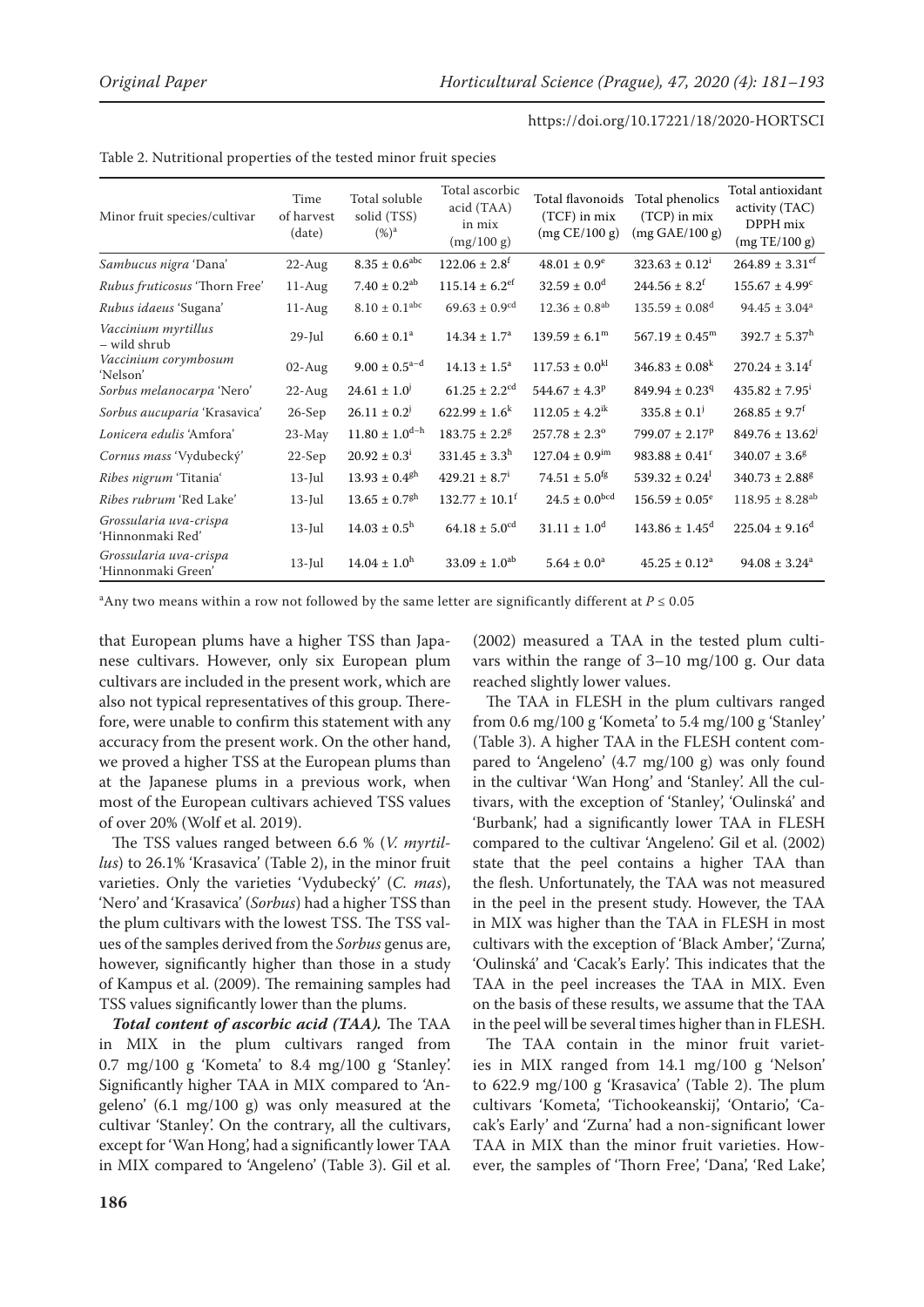| Minor fruit species/cultivar                 | Time<br>of harvest<br>(date) | Total soluble<br>solid (TSS)<br>$(\%)^{\rm a}$ | Total ascorbic<br>acid (TAA)<br>in mix<br>(mg/100 g) | Total flavonoids<br>$(TCF)$ in mix<br>(mg CE/100 g) | Total phenolics<br>$(TCP)$ in mix<br>(mg GAE/100 g) | Total antioxidant<br>activity (TAC)<br>DPPH mix<br>(mg TE/100 g) |
|----------------------------------------------|------------------------------|------------------------------------------------|------------------------------------------------------|-----------------------------------------------------|-----------------------------------------------------|------------------------------------------------------------------|
| Sambucus nigra 'Dana'                        | $22$ -Aug                    | $8.35\pm0.6^{\text{abc}}$                      | $122.06 \pm 2.8$ <sup>f</sup>                        | $48.01 \pm 0.9^e$                                   | $323.63 \pm 0.12^1$                                 | $264.89 \pm 3.31$ <sup>ef</sup>                                  |
| Rubus fruticosus 'Thorn Free'                | $11-Aug$                     | $7.40 \pm 0.2^{ab}$                            | $115.14 \pm 6.2$ <sup>ef</sup>                       | $32.59 \pm 0.0^{\rm d}$                             | $244.56 \pm 8.2^f$                                  | $155.67 \pm 4.99^{\circ}$                                        |
| Rubus idaeus 'Sugana'                        | $11-Aug$                     | $8.10 \pm 0.1^{\rm abc}$                       | $69.63 \pm 0.9^{cd}$                                 | $12.36 \pm 0.8$ <sup>ab</sup>                       | $135.59 \pm 0.08$ <sup>d</sup>                      | $94.45 \pm 3.04^a$                                               |
| Vaccinium myrtillus<br>- wild shrub          | $29$ -Jul                    | $6.60 \pm 0.1^a$                               | $14.34 \pm 1.7^a$                                    | $139.59 \pm 6.1^{\rm m}$                            | $567.19 \pm 0.45^m$                                 | $392.7 \pm 5.37^h$                                               |
| Vaccinium corymbosum<br>'Nelson'             | $02$ -Aug                    | $9.00 \pm 0.5^{\text{a-d}}$                    | $14.13 \pm 1.5^a$                                    | $117.53 \pm 0.0^{kl}$                               | $346.83 \pm 0.08^k$                                 | $270.24 \pm 3.14^f$                                              |
| Sorbus melanocarpa 'Nero'                    | $22$ -Aug                    | $24.61 \pm 1.0$ <sup>j</sup>                   | $61.25 \pm 2.2$ <sup>cd</sup>                        | $544.67 \pm 4.3$ <sup>p</sup>                       | $849.94 \pm 0.23$ <sup>q</sup>                      | $435.82 \pm 7.95^{\mathrm{i}}$                                   |
| Sorbus aucuparia 'Krasavica'                 | $26-Sep$                     | $26.11 \pm 0.2$ <sup>j</sup>                   | $622.99 \pm 1.6^k$                                   | $112.05 \pm 4.2^{\text{ik}}$                        | $335.8 \pm 0.1$ <sup>j</sup>                        | $268.85 \pm 9.7$ <sup>f</sup>                                    |
| Lonicera edulis 'Amfora'                     | $23-May$                     | $11.80 \pm 1.0$ <sup>d-h</sup>                 | $183.75 \pm 2.2$ <sup>g</sup>                        | $257.78 \pm 2.3^{\circ}$                            | $799.07 \pm 2.17^p$                                 | $849.76 \pm 13.62$                                               |
| Cornus mass 'Vydubecký'                      | $22-Sep$                     | $20.92 \pm 0.3^{\rm i}$                        | $331.45 \pm 3.3^h$                                   | $127.04 \pm 0.9$ <sup>im</sup>                      | $983.88 \pm 0.41$ <sup>r</sup>                      | $340.07 \pm 3.6^8$                                               |
| Ribes nigrum 'Titania'                       | $13$ -Jul                    | $13.93 \pm 0.4$ <sup>gh</sup>                  | $429.21 \pm 8.7^{\text{i}}$                          | $74.51 \pm 5.0$ <sup>fg</sup>                       | $539.32 \pm 0.24$                                   | $340.73 \pm 2.88$ <sup>g</sup>                                   |
| Ribes rubrum 'Red Lake'                      | $13$ -Jul                    | $13.65 \pm 0.7$ <sup>gh</sup>                  | $132.77 \pm 10.1^f$                                  | $24.5 \pm 0.0^{bcd}$                                | $156.59 \pm 0.05^e$                                 | $118.95 \pm 8.28^{ab}$                                           |
| Grossularia uva-crispa<br>'Hinnonmaki Red'   | $13$ -Jul                    | $14.03 \pm 0.5^{\rm h}$                        | $64.18 \pm 5.0^{cd}$                                 | $31.11 \pm 1.0^d$                                   | $143.86 \pm 1.45$ <sup>d</sup>                      | $225.04 \pm 9.16^{\circ}$                                        |
| Grossularia uva-crispa<br>'Hinnonmaki Green' | $13$ -Jul                    | $14.04 \pm 1.0^h$                              | $33.09 \pm 1.0^{ab}$                                 | $5.64 \pm 0.0^a$                                    | $45.25 \pm 0.12^a$                                  | $94.08 \pm 3.24^a$                                               |

Table 2. Nutritional properties of the tested minor fruit species

 $^{\rm a}$ Any two means within a row not followed by the same letter are significantly different at  $P$  ≤ 0.05

that European plums have a higher TSS than Japanese cultivars. However, only six European plum cultivars are included in the present work, which are also not typical representatives of this group. Therefore, were unable to confirm this statement with any accuracy from the present work. On the other hand, we proved a higher TSS at the European plums than at the Japanese plums in a previous work, when most of the European cultivars achieved TSS values of over 20% (Wolf et al. 2019).

The TSS values ranged between 6.6 % (*V. myrtillus*) to 26.1% 'Krasavica' (Table 2), in the minor fruit varieties. Only the varieties 'Vydubecký' (*C. mas*), 'Nero' and 'Krasavica' (*Sorbus*) had a higher TSS than the plum cultivars with the lowest TSS. The TSS values of the samples derived from the *Sorbus* genus are, however, significantly higher than those in a study of Kampus et al. (2009). The remaining samples had TSS values significantly lower than the plums.

*Total content of ascorbic acid (TAA).* The TAA in MIX in the plum cultivars ranged from 0.7 mg/100 g 'Kometa' to  $8.4$  mg/100 g 'Stanley'. Significantly higher TAA in MIX compared to 'Angeleno' (6.1 mg/100 g) was only measured at the cultivar 'Stanley'. On the contrary, all the cultivars, except for 'Wan Hong', had a significantly lower TAA in MIX compared to 'Angeleno' (Table 3). Gil et al.

(2002) measured a TAA in the tested plum cultivars within the range of  $3-10 \text{ mg}/100 \text{ g}$ . Our data reached slightly lower values.

The TAA in FLESH in the plum cultivars ranged from 0.6 mg/100 g 'Kometa' to 5.4 mg/100 g 'Stanley' (Table 3). A higher TAA in the FLESH content compared to 'Angeleno' (4.7 mg/100 g) was only found in the cultivar 'Wan Hong' and 'Stanley'. All the cultivars, with the exception of 'Stanley', 'Oulinská' and 'Burbank', had a significantly lower TAA in FLESH compared to the cultivar 'Angeleno'. Gil et al. (2002) state that the peel contains a higher TAA than the flesh. Unfortunately, the TAA was not measured in the peel in the present study. However, the TAA in MIX was higher than the TAA in FLESH in most cultivars with the exception of 'Black Amber', 'Zurna', 'Oulinská' and 'Cacak's Early'. This indicates that the TAA in the peel increases the TAA in MIX. Even on the basis of these results, we assume that the TAA in the peel will be several times higher than in FLESH.

The TAA contain in the minor fruit varieties in MIX ranged from 14.1 mg/100 g 'Nelson' to 622.9 mg/100 g 'Krasavica' (Table 2). The plum cultivars 'Kometa', 'Tichookeanskij', 'Ontario', 'Cacak's Early' and 'Zurna' had a non-significant lower TAA in MIX than the minor fruit varieties. However, the samples of 'Thorn Free', 'Dana', 'Red Lake',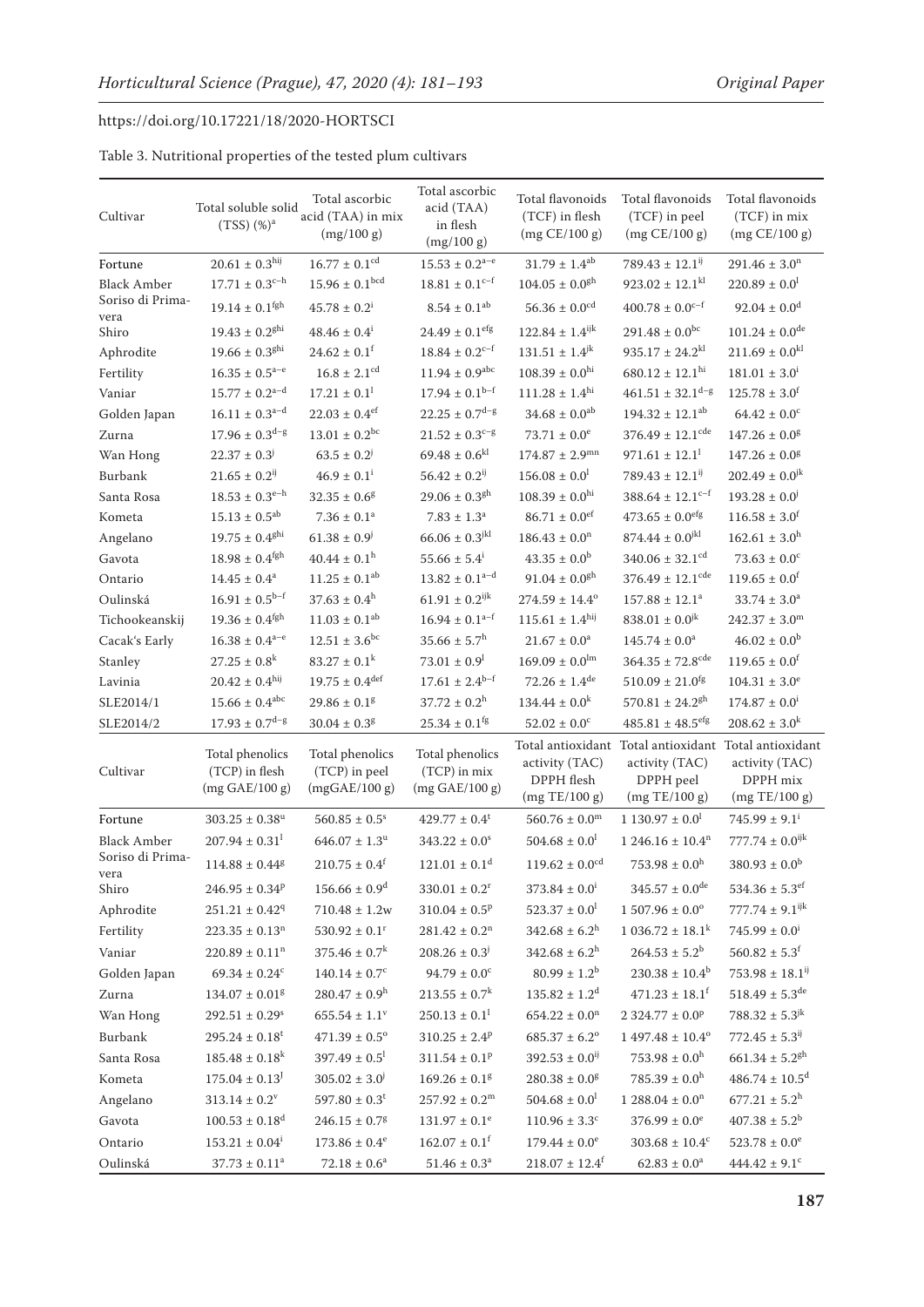| Cultivar                 | Total soluble solid<br>$(TSS)$ $%$ <sup>a</sup>     | Total ascorbic<br>acid (TAA) in mix<br>(mg/100 g) | Total ascorbic<br>acid (TAA)<br>in flesh<br>(mg/100 g) | Total flavonoids<br>(TCF) in flesh<br>(mg CE/100 g) | Total flavonoids<br>(TCF) in peel<br>(mg CE/100 g)                                                    | Total flavonoids<br>(TCF) in mix<br>(mg CE/100 g) |
|--------------------------|-----------------------------------------------------|---------------------------------------------------|--------------------------------------------------------|-----------------------------------------------------|-------------------------------------------------------------------------------------------------------|---------------------------------------------------|
| Fortune                  | $20.61\pm0.3^{\text{hij}}$                          | $16.77 \pm 0.1^{\rm cd}$                          | $15.53 \pm 0.2^{\text{a-e}}$                           | $31.79 \pm 1.4^{\textrm{ab}}$                       | $789.43 \pm 12.1$ <sup>ij</sup>                                                                       | $291.46 \pm 3.0$ <sup>n</sup>                     |
| <b>Black Amber</b>       | $17.71 \pm 0.3^{\text{c-h}}$                        | $15.96 \pm 0.1^{bcd}$                             | $18.81 \pm 0.1^{c-f}$                                  | $104.05 \pm 0.0$ <sup>gh</sup>                      | $923.02 \pm 12.1$ <sup>kl</sup>                                                                       | $220.89 \pm 0.0^1$                                |
| Soriso di Prima-         | $19.14 \pm 0.1$ <sup>fgh</sup>                      | $45.78 \pm 0.2^{\text{i}}$                        | $8.54 \pm 0.1^{ab}$                                    | $56.36 \pm 0.0$ <sup>cd</sup>                       | $400.78 \pm 0.0$ <sup>c-f</sup>                                                                       | $92.04 \pm 0.0^{\rm d}$                           |
| vera<br>Shiro            | $19.43 \pm 0.2$ <sup>ghi</sup>                      | $48.46 \pm 0.4^{\text{i}}$                        | $24.49 \pm 0.1$ <sup>efg</sup>                         | $122.84 \pm 1.4^{\rm ijk}$                          | $291.48 \pm 0.0^{bc}$                                                                                 | $101.24 \pm 0.0$ <sup>de</sup>                    |
| Aphrodite                | $19.66 \pm 0.3$ <sup>ghi</sup>                      | $24.62 \pm 0.1$ <sup>f</sup>                      | $18.84\pm0.2^{\mathrm{c-f}}$                           | $131.51 \pm 1.4^{jk}$                               | $935.17 \pm 24.2$ <sup>kl</sup>                                                                       | $211.69 \pm 0.0^{kl}$                             |
|                          | $16.35 \pm 0.5^{a-e}$                               | $16.8 \pm 2.1$ <sup>cd</sup>                      | $11.94 \pm 0.9^{\text{abc}}$                           | $108.39 \pm 0.0^{hi}$                               | $680.12 \pm 12.1$ <sup>hi</sup>                                                                       | $181.01 \pm 3.0^{\text{i}}$                       |
| Fertility                |                                                     | $17.21\pm0.1^{\rm l}$                             |                                                        | $111.28 \pm 1.4^{\rm hi}$                           |                                                                                                       |                                                   |
| Vaniar                   | $15.77 \pm 0.2^{a-d}$                               |                                                   | $17.94 \pm 0.1^{b-f}$                                  |                                                     | $461.51 \pm 32.1$ <sup>d-g</sup>                                                                      | $125.78 \pm 3.0^f$                                |
| Golden Japan             | $16.11 \pm 0.3^{a-d}$                               | $22.03 \pm 0.4$ <sup>ef</sup>                     | $22.25 \pm 0.7^{\rm d-g}$                              | $34.68 \pm 0.0^{ab}$                                | $194.32 \pm 12.1^{ab}$                                                                                | $64.42 \pm 0.0^c$                                 |
| Zurna                    | $17.96 \pm 0.3^{d-g}$                               | $13.01 \pm 0.2^{bc}$                              | $21.52 \pm 0.3^{c-g}$                                  | $73.71 \pm 0.0^e$                                   | $376.49 \pm 12.1$ <sup>cde</sup>                                                                      | $147.26 \pm 0.0$ <sup>g</sup>                     |
| Wan Hong                 | $22.37 \pm 0.3^{\circ}$                             | $63.5 \pm 0.2$                                    | $69.48 \pm 0.6^{kl}$                                   | $174.87 \pm 2.9$ <sup>mn</sup>                      | $971.61 \pm 12.1$ <sup>1</sup>                                                                        | $147.26 \pm 0.0$ <sup>g</sup>                     |
| Burbank                  | $21.65 \pm 0.2^{ij}$                                | $46.9 \pm 0.1^{\text{i}}$                         | $56.42 \pm 0.2^{ij}$                                   | $156.08 \pm 0.0^1$                                  | $789.43 \pm 12.1^{ij}$                                                                                | $202.49 \pm 0.0^{jk}$                             |
| Santa Rosa               | $18.53 \pm 0.3^{e-h}$                               | $32.35\pm0.6^{\rm g}$                             | $29.06 \pm 0.3$ <sup>gh</sup>                          | $108.39 \pm 0.0^{hi}$                               | $388.64 \pm 12.1$ <sup>c-f</sup>                                                                      | $193.28 \pm 0.0^{\circ}$                          |
| Kometa                   | $15.13 \pm 0.5^{ab}$                                | $7.36 \pm 0.1^a$                                  | $7.83\pm1.3^{\rm a}$                                   | $86.71 \pm 0.0$ <sup>ef</sup>                       | $473.65 \pm 0.0$ <sup>efg</sup>                                                                       | $116.58 \pm 3.0^f$                                |
| Angelano                 | $19.75 \pm 0.4$ <sup>ghi</sup>                      | $61.38 \pm 0.9$ <sup>j</sup>                      | $66.06 \pm 0.3$ <sup>jkl</sup>                         | $186.43 \pm 0.0$ <sup>n</sup>                       | $874.44 \pm 0.0$ <sup>jkl</sup>                                                                       | $162.61 \pm 3.0^h$                                |
| Gavota                   | $18.98 \pm 0.4$ <sup>fgh</sup>                      | $40.44 \pm 0.1$ <sup>h</sup>                      | $55.66 \pm 5.4^{\text{i}}$                             | $43.35 \pm 0.0^b$                                   | $340.06 \pm 32.1$ <sup>cd</sup>                                                                       | $73.63 \pm 0.0^{\circ}$                           |
| Ontario                  | $14.45 \pm 0.4^a$                                   | $11.25 \pm 0.1^{ab}$                              | $13.82 \pm 0.1^{a-d}$                                  | $91.04 \pm 0.0$ <sup>gh</sup>                       | $376.49 \pm 12.1$ <sup>cde</sup>                                                                      | $119.65 \pm 0.0^f$                                |
| Oulinská                 | $16.91 \pm 0.5^{b-f}$                               | $37.63 \pm 0.4^h$                                 | $61.91\pm0.2^\mathrm{ijk}$                             | $274.59 \pm 14.4^{\circ}$                           | $157.88 \pm 12.1^a$                                                                                   | $33.74\pm3.0^{\rm a}$                             |
| Tichookeanskij           | $19.36 \pm 0.4$ <sup>fgh</sup>                      | $11.03 \pm 0.1^{ab}$                              | $16.94 \pm 0.1^{a-f}$                                  | $115.61 \pm 1.4$ <sup>hij</sup>                     | $838.01 \pm 0.0$ <sup>jk</sup>                                                                        | $242.37 \pm 3.0^{\rm m}$                          |
| Cacak's Early            | $16.38 \pm 0.4^{a-e}$                               | $12.51\pm3.6^{\mathrm{bc}}$                       | $35.66 \pm 5.7^{\rm h}$                                | $21.67 \pm 0.0^a$                                   | $145.74 \pm 0.0^a$                                                                                    | $46.02 \pm 0.0^b$                                 |
| Stanley                  | $27.25 \pm 0.8^k$                                   | $83.27 \pm 0.1^k$                                 | $73.01 \pm 0.9^{\mathrm{l}}$                           | $169.09 \pm 0.0^{\text{lm}}$                        | $364.35 \pm 72.8$ <sup>cde</sup>                                                                      | $119.65 \pm 0.0^f$                                |
| Lavinia                  | $20.42 \pm 0.4^{\rm{hij}}$                          | $19.75\pm0.4^{\rm def}$                           | $17.61\pm2.4^{\mathrm{b-f}}$                           | $72.26 \pm 1.4^{\text{de}}$                         | $510.09 \pm 21.0$ <sup>fg</sup>                                                                       | $104.31 \pm 3.0^e$                                |
| SLE2014/1                | $15.66 \pm 0.4^{abc}$                               | $29.86 \pm 0.1$ <sup>g</sup>                      | $37.72 \pm 0.2^{\rm h}$                                | $134.44 \pm 0.0^k$                                  | $570.81 \pm 24.2$ <sup>gh</sup>                                                                       | $174.87 \pm 0.0^{\text{i}}$                       |
| SLE2014/2                | $17.93 \pm 0.7$ <sup>d-g</sup>                      | $30.04 \pm 0.3$ <sup>g</sup>                      | $25.34 \pm 0.1$ <sup>fg</sup>                          | $52.02 \pm 0.0^{\circ}$                             | $485.81 \pm 48.5$ <sup>efg</sup>                                                                      | $208.62 \pm 3.0^k$                                |
| Cultivar                 | Total phenolics<br>(TCP) in flesh<br>(mg GAE/100 g) | Total phenolics<br>(TCP) in peel<br>(mgGAE/100 g) | Total phenolics<br>(TCP) in mix<br>(mg GAE/100 g)      | activity (TAC)<br>DPPH flesh<br>(mg TE/100 g)       | Total antioxidant Total antioxidant Total antioxidant<br>activity (TAC)<br>DPPH peel<br>(mg TE/100 g) | activity (TAC)<br>DPPH mix<br>(mg TE/100 g)       |
| Fortune                  | $303.25 \pm 0.38^u$                                 | $560.85 \pm 0.5^s$                                | $429.77 \pm 0.4^t$                                     | $560.76 \pm 0.0^{\rm m}$                            | $1.130.97 \pm 0.0^1$                                                                                  | $745.99 \pm 9.1^{\text{i}}$                       |
| <b>Black Amber</b>       | $207.94 \pm 0.31^1$                                 | $646.07 \pm 1.3$ <sup>u</sup>                     | $343.22 \pm 0.0^s$                                     | $504.68 \pm 0.0^1$                                  | $1246.16 \pm 10.4$ <sup>n</sup>                                                                       | $777.74 \pm 0.0^{ijk}$                            |
| Soriso di Prima-<br>vera | $114.88 \pm 0.44$ <sup>g</sup>                      | $210.75 \pm 0.4^f$                                | $121.01 \pm 0.1^d$                                     | $119.62 \pm 0.0$ <sup>cd</sup>                      | $753.98 \pm 0.0^{\rm h}$                                                                              | $380.93 \pm 0.0^b$                                |
| Shiro                    | $246.95 \pm 0.34^p$                                 | $156.66 \pm 0.9^d$                                | $330.01 \pm 0.2^r$                                     | $373.84 \pm 0.0^{\text{i}}$                         | $345.57 \pm 0.0^{\text{de}}$                                                                          | $534.36 \pm 5.3^{\rm ef}$                         |
| Aphrodite                | $251.21 \pm 0.42$ <sup>q</sup>                      | $710.48 \pm 1.2w$                                 | $310.04 \pm 0.5^p$                                     | $523.37 \pm 0.0^{\text{l}}$                         | $1507.96 \pm 0.0^{\circ}$                                                                             | $777.74 \pm 9.1$ <sup>ijk</sup>                   |
| Fertility                | $223.35 \pm 0.13$ <sup>n</sup>                      | $530.92 \pm 0.1$ <sup>r</sup>                     | $281.42 \pm 0.2$ <sup>n</sup>                          | $342.68 \pm 6.2^h$                                  | $1036.72 \pm 18.1^k$                                                                                  | $745.99 \pm 0.0^{\text{i}}$                       |
| Vaniar                   | $220.89 \pm 0.11$ <sup>n</sup>                      | $375.46 \pm 0.7^k$                                | $208.26 \pm 0.3^{\circ}$                               | $342.68 \pm 6.2^{\rm h}$                            | $264.53\pm5.2^{\rm b}$                                                                                | $560.82 \pm 5.3^{\mathrm{f}}$                     |
| Golden Japan             | $69.34 \pm 0.24$ <sup>c</sup>                       | $140.14 \pm 0.7$ <sup>c</sup>                     | $94.79 \pm 0.0^{\circ}$                                | $80.99 \pm 1.2^b$                                   | $230.38 \pm 10.4^b$                                                                                   | $753.98 \pm 18.1^{ij}$                            |
| Zurna                    | $134.07 \pm 0.01$ <sup>g</sup>                      | $280.47 \pm 0.9^{\rm h}$                          | $213.55 \pm 0.7^k$                                     | $135.82 \pm 1.2^d$                                  | $471.23 \pm 18.1^f$                                                                                   | $518.49 \pm 5.3$ <sup>de</sup>                    |
| Wan Hong                 | $292.51 \pm 0.29$ <sup>s</sup>                      | $655.54 \pm 1.1^{\circ}$                          | $250.13 \pm 0.1^1$                                     | $654.22 \pm 0.0$ <sup>n</sup>                       | $2.324.77 \pm 0.0^{\rm p}$                                                                            | $788.32 \pm 5.3^{jk}$                             |
| Burbank                  | $295.24 \pm 0.18^t$                                 | $471.39\pm0.5^{\rm o}$                            | $310.25 \pm 2.4^p$                                     | $685.37\pm6.2^{\rm o}$                              | $1\;497.48\pm10.4^{\rm o}$                                                                            | $772.45 \pm 5.3^{ij}$                             |
| Santa Rosa               | $185.48 \pm 0.18^k$                                 | $397.49 \pm 0.5^1$                                | $311.54 \pm 0.1^p$                                     | $392.53 \pm 0.0^{ij}$                               | $753.98 \pm 0.0^h$                                                                                    | $661.34 \pm 5.2$ <sup>gh</sup>                    |
| Kometa                   | $175.04 \pm 0.13^{\circ}$                           | $305.02 \pm 3.0^{\circ}$                          | $169.26 \pm 0.1$ <sup>g</sup>                          | $280.38 \pm 0.0^8$                                  | $785.39 \pm 0.0^h$                                                                                    | $486.74 \pm 10.5^d$                               |
| Angelano                 | $313.14 \pm 0.2^v$                                  | $597.80 \pm 0.3$ <sup>t</sup>                     | $257.92 \pm 0.2^m$                                     | $504.68 \pm 0.0^{\text{l}}$                         | $1288.04 \pm 0.0$ <sup>n</sup>                                                                        | $677.21 \pm 5.2$ <sup>h</sup>                     |
| Gavota                   | $100.53 \pm 0.18^d$                                 | $246.15 \pm 0.7$ <sup>g</sup>                     | $131.97 \pm 0.1^e$                                     | $110.96 \pm 3.3^c$                                  | $376.99 \pm 0.0^e$                                                                                    | $407.38 \pm 5.2^b$                                |
| Ontario                  | $153.21 \pm 0.04^i$                                 | $173.86 \pm 0.4^e$                                | $162.07 \pm 0.1^f$                                     | $179.44 \pm 0.0^e$                                  | $303.68 \pm 10.4^c$                                                                                   | $523.78\pm0.0^{\rm e}$                            |
| Oulinská                 | $37.73 \pm 0.11^a$                                  | $72.18 \pm 0.6^a$                                 | $51.46 \pm 0.3^{\rm a}$                                | $218.07 \pm 12.4^f$                                 | $62.83 \pm 0.0^a$                                                                                     | $444.42 \pm 9.1^c$                                |
|                          |                                                     |                                                   |                                                        |                                                     |                                                                                                       |                                                   |

Table 3. Nutritional properties of the tested plum cultivars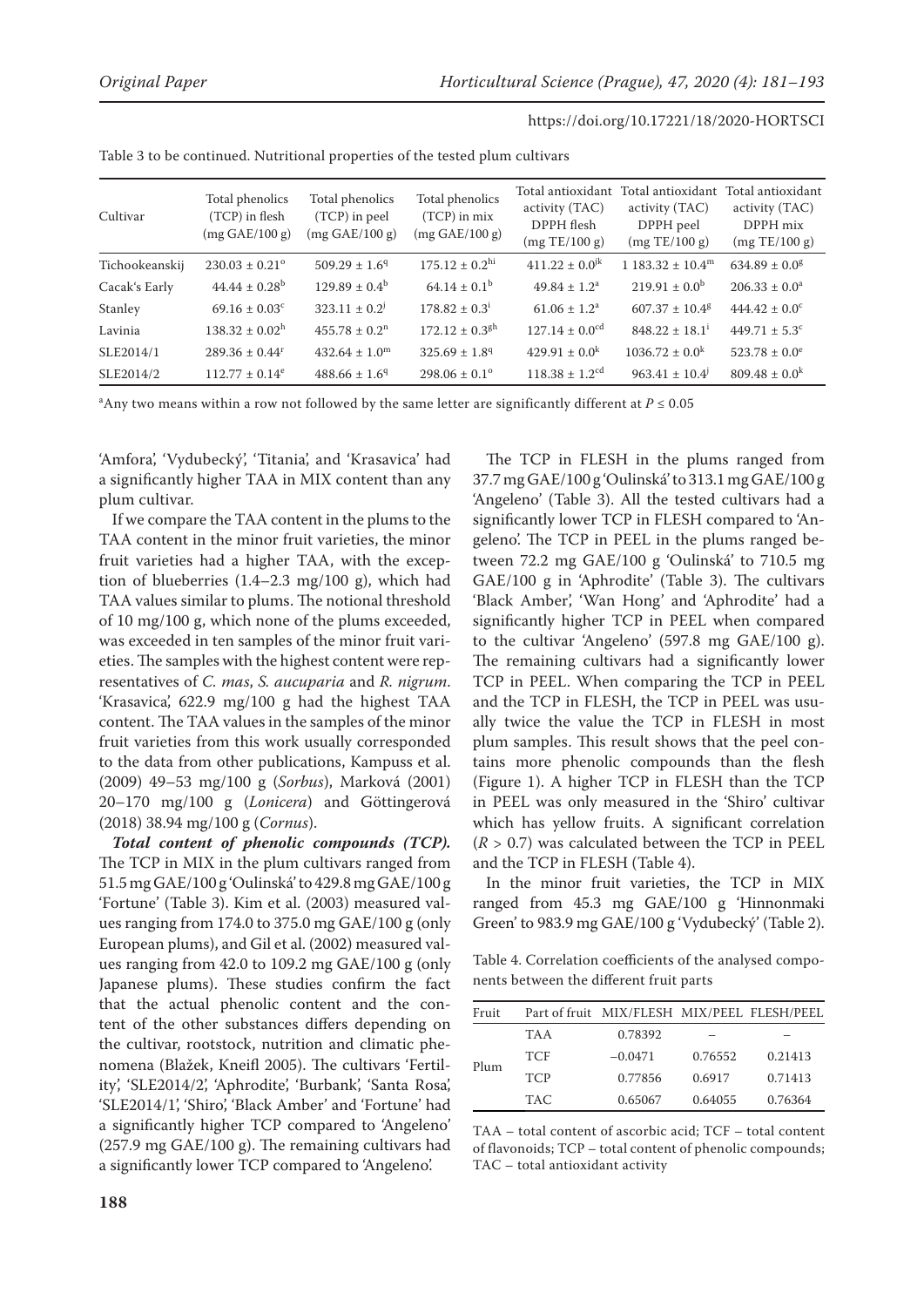| Cultivar       | Total phenolics<br>(TCP) in flesh<br>(mg GAE/100 g) | Total phenolics<br>(TCP) in peel<br>(mg GAE/100 g) | Total phenolics<br>$(TCP)$ in mix<br>(mg GAE/100 g) | Total antioxidant<br>activity (TAC)<br>DPPH flesh<br>(mg TE/100 g) | Total antioxidant<br>activity (TAC)<br>DPPH peel<br>(mg TE/100 g) | Total antioxidant<br>activity (TAC)<br>DPPH mix<br>(mg TE/100 g) |
|----------------|-----------------------------------------------------|----------------------------------------------------|-----------------------------------------------------|--------------------------------------------------------------------|-------------------------------------------------------------------|------------------------------------------------------------------|
| Tichookeanskij | $230.03 \pm 0.21$ <sup>o</sup>                      | $509.29 \pm 1.69$                                  | $175.12 \pm 0.2$ <sup>hi</sup>                      | $411.22 \pm 0.0^{jk}$                                              | $1.183.32 \pm 10.4^{\rm m}$                                       | $634.89 \pm 0.08$                                                |
| Cacak's Early  | $44.44 \pm 0.28^b$                                  | $129.89 \pm 0.4^{\rm b}$                           | $64.14 \pm 0.1^b$                                   | $49.84 \pm 1.2^a$                                                  | $219.91 \pm 0.0^{\rm b}$                                          | $206.33 \pm 0.0^a$                                               |
| Stanley        | $69.16 \pm 0.03$ <sup>c</sup>                       | $323.11 \pm 0.2$ <sup>j</sup>                      | $178.82 \pm 0.3^{\text{i}}$                         | $61.06 \pm 1.2^a$                                                  | $607.37 \pm 10.4$ <sup>g</sup>                                    | $444.42 \pm 0.0^{\circ}$                                         |
| Lavinia        | $138.32 \pm 0.02^{\rm h}$                           | $455.78 \pm 0.2$ <sup>n</sup>                      | $172.12 \pm 0.3$ <sup>gh</sup>                      | $127.14 \pm 0.0$ <sup>cd</sup>                                     | $848.22 \pm 18.1^{\text{i}}$                                      | $449.71 \pm 5.3^{\circ}$                                         |
| SLE2014/1      | $289.36 \pm 0.44^r$                                 | $432.64 \pm 1.0^{\rm m}$                           | $325.69 \pm 1.8$ <sup>q</sup>                       | $429.91 \pm 0.0^k$                                                 | $1036.72 \pm 0.0^k$                                               | $523.78 \pm 0.0^e$                                               |
| SLE2014/2      | $112.77 \pm 0.14^e$                                 | $488.66 \pm 1.6$ <sup>q</sup>                      | $298.06 \pm 0.1^{\circ}$                            | $118.38 \pm 1.2$ <sup>cd</sup>                                     | $963.41 \pm 10.4$                                                 | $809.48 \pm 0.0^k$                                               |

Table 3 to be continued. Nutritional properties of the tested plum cultivars

<sup>a</sup> Any two means within a row not followed by the same letter are significantly different at  $P \le 0.05$ 

'Amfora', 'Vydubecký', 'Titania', and 'Krasavica' had a significantly higher TAA in MIX content than any plum cultivar.

If we compare the TAA content in the plums to the TAA content in the minor fruit varieties, the minor fruit varieties had a higher TAA, with the exception of blueberries (1.4–2.3 mg/100 g), which had TAA values similar to plums. The notional threshold of 10 mg/100 g, which none of the plums exceeded, was exceeded in ten samples of the minor fruit varieties. The samples with the highest content were representatives of *C. mas*, *S. aucuparia* and *R. nigrum*. 'Krasavica', 622.9 mg/100 g had the highest TAA content. The TAA values in the samples of the minor fruit varieties from this work usually corresponded to the data from other publications, Kampuss et al. (2009) 49–53 mg/100 g (*Sorbus*), Marková (2001) 20–170 mg/100 g (*Lonicera*) and Göttingerová (2018) 38.94 mg/100 g (*Cornus*).

*Total content of phenolic compounds (TCP).* The TCP in MIX in the plum cultivars ranged from 51.5 mg GAE/100 g 'Oulinská' to 429.8 mg GAE/100 g 'Fortune' (Table 3). Kim et al. (2003) measured values ranging from 174.0 to 375.0 mg GAE/100 g (only European plums), and Gil et al. (2002) measured values ranging from 42.0 to 109.2 mg GAE/100 g (only Japanese plums). These studies confirm the fact that the actual phenolic content and the content of the other substances differs depending on the cultivar, rootstock, nutrition and climatic phenomena (Blažek, Kneifl 2005). The cultivars 'Fertility', 'SLE2014/2', 'Aphrodite', 'Burbank', 'Santa Rosa', 'SLE2014/1', 'Shiro', 'Black Amber' and 'Fortune' had a significantly higher TCP compared to 'Angeleno' (257.9 mg GAE/100 g). The remaining cultivars had a significantly lower TCP compared to 'Angeleno'.

The TCP in FLESH in the plums ranged from 37.7 mg GAE/100 g 'Oulinská' to 313.1 mg GAE/100 g 'Angeleno' (Table 3). All the tested cultivars had a significantly lower TCP in FLESH compared to 'Angeleno'. The TCP in PEEL in the plums ranged between 72.2 mg GAE/100 g 'Oulinská' to 710.5 mg GAE/100 g in 'Aphrodite' (Table 3). The cultivars 'Black Amber', 'Wan Hong' and 'Aphrodite' had a significantly higher TCP in PEEL when compared to the cultivar 'Angeleno' (597.8 mg GAE/100 g). The remaining cultivars had a significantly lower TCP in PEEL. When comparing the TCP in PEEL and the TCP in FLESH, the TCP in PEEL was usually twice the value the TCP in FLESH in most plum samples. This result shows that the peel contains more phenolic compounds than the flesh (Figure 1). A higher TCP in FLESH than the TCP in PEEL was only measured in the 'Shiro' cultivar which has yellow fruits. A significant correlation  $(R > 0.7)$  was calculated between the TCP in PEEL and the TCP in FLESH (Table 4).

In the minor fruit varieties, the TCP in MIX ranged from 45.3 mg GAE/100 g 'Hinnonmaki Green' to 983.9 mg GAE/100 g 'Vydubecký' (Table 2).

Table 4. Correlation coefficients of the analysed components between the different fruit parts

| Fruit |            | Part of fruit MIX/FLESH MIX/PEEL FLESH/PEEL |         |         |
|-------|------------|---------------------------------------------|---------|---------|
|       | <b>TAA</b> | 0.78392                                     |         |         |
| Plum  | <b>TCF</b> | $-0.0471$                                   | 0.76552 | 0.21413 |
|       | <b>TCP</b> | 0.77856                                     | 0.6917  | 0.71413 |
|       | <b>TAC</b> | 0.65067                                     | 0.64055 | 0.76364 |

TAA – total content of ascorbic acid; TCF – total content of flavonoids; TCP – total content of phenolic compounds; TAC – total antioxidant activity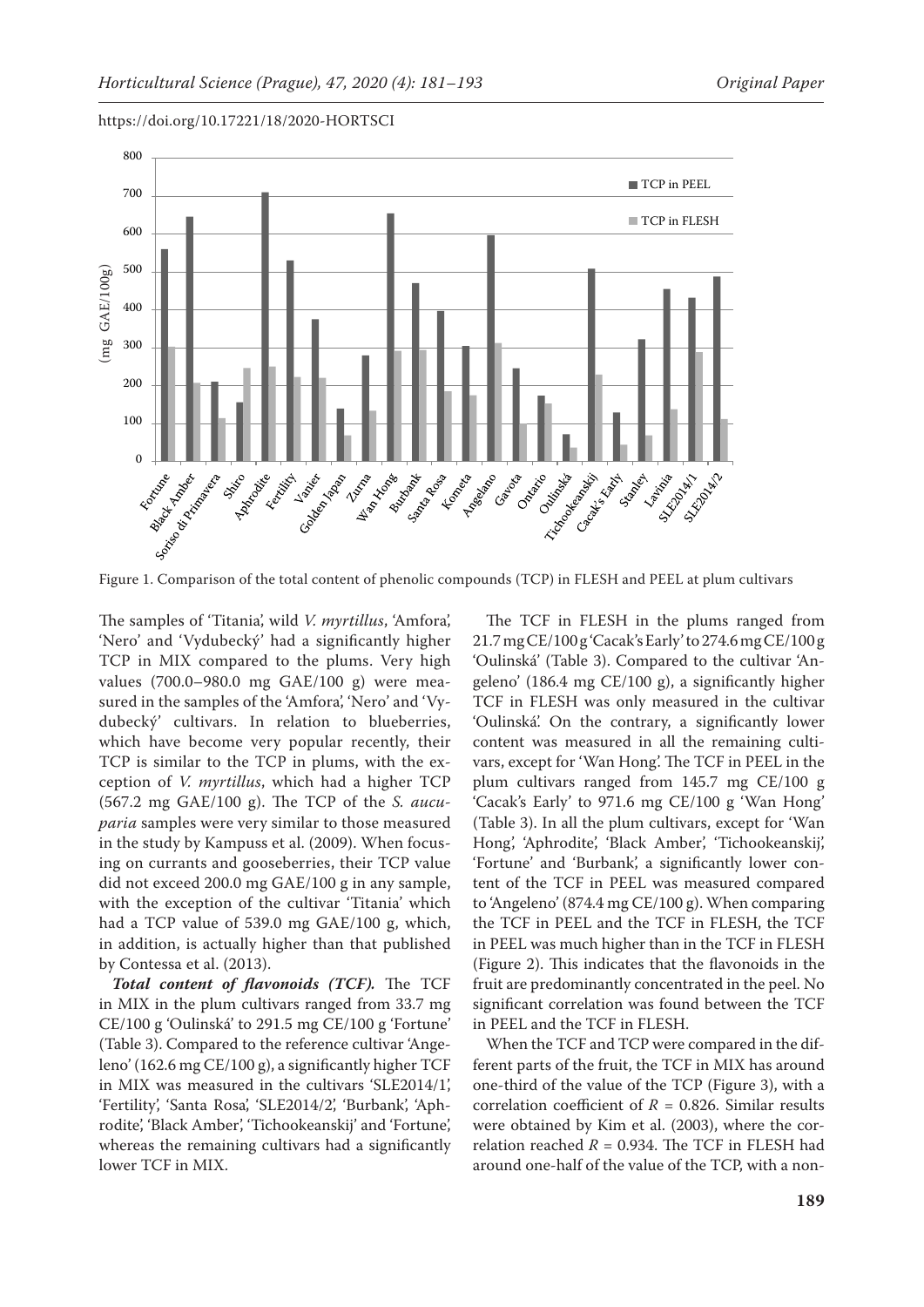

https://doi.org/10.17221/18/2020-HORTSCI

Figure 1. Comparison of the total content of phenolic compounds (TCP) in FLESH and PEEL at plum cultivars

The samples of 'Titania', wild *V. myrtillus*, 'Amfora', 'Nero' and 'Vydubecký' had a significantly higher TCP in MIX compared to the plums. Very high values (700.0–980.0 mg GAE/100 g) were measured in the samples of the 'Amfora', 'Nero' and 'Vydubecký' cultivars. In relation to blueberries, which have become very popular recently, their TCP is similar to the TCP in plums, with the exception of *V. myrtillus*, which had a higher TCP (567.2 mg GAE/100 g). The TCP of the *S. aucuparia* samples were very similar to those measured in the study by Kampuss et al. (2009). When focusing on currants and gooseberries, their TCP value did not exceed 200.0 mg GAE/100 g in any sample, with the exception of the cultivar 'Titania' which had a TCP value of 539.0 mg GAE/100 g, which, in addition, is actually higher than that published by Contessa et al. (2013).

*Total content of flavonoids (TCF).* The TCF in MIX in the plum cultivars ranged from 33.7 mg CE/100 g 'Oulinská' to 291.5 mg CE/100 g 'Fortune' (Table 3). Compared to the reference cultivar 'Angeleno' (162.6 mg CE/100 g), a significantly higher TCF in MIX was measured in the cultivars 'SLE2014/1', 'Fertility', 'Santa Rosa', 'SLE2014/2', 'Burbank', 'Aphrodite', 'Black Amber', 'Tichookeanskij' and 'Fortune', whereas the remaining cultivars had a significantly lower TCF in MIX.

The TCF in FLESH in the plums ranged from 21.7mgCE/100g 'Cacak's Early' to 274.6mgCE/100g 'Oulinská' (Table 3). Compared to the cultivar 'Angeleno' (186.4 mg CE/100 g), a significantly higher TCF in FLESH was only measured in the cultivar 'Oulinská'. On the contrary, a significantly lower content was measured in all the remaining cultivars, except for 'Wan Hong'. The TCF in PEEL in the plum cultivars ranged from 145.7 mg CE/100 g 'Cacak's Early' to 971.6 mg CE/100 g 'Wan Hong' (Table 3). In all the plum cultivars, except for 'Wan Hong', 'Aphrodite', 'Black Amber', 'Tichookeanskij', 'Fortune' and 'Burbank', a significantly lower content of the TCF in PEEL was measured compared to 'Angeleno' (874.4 mg CE/100 g). When comparing the TCF in PEEL and the TCF in FLESH, the TCF in PEEL was much higher than in the TCF in FLESH (Figure 2). This indicates that the flavonoids in the fruit are predominantly concentrated in the peel. No significant correlation was found between the TCF in PEEL and the TCF in FLESH.

When the TCF and TCP were compared in the different parts of the fruit, the TCF in MIX has around one-third of the value of the TCP (Figure 3), with a correlation coefficient of  $R = 0.826$ . Similar results were obtained by Kim et al. (2003), where the correlation reached  $R = 0.934$ . The TCF in FLESH had around one-half of the value of the TCP, with a non-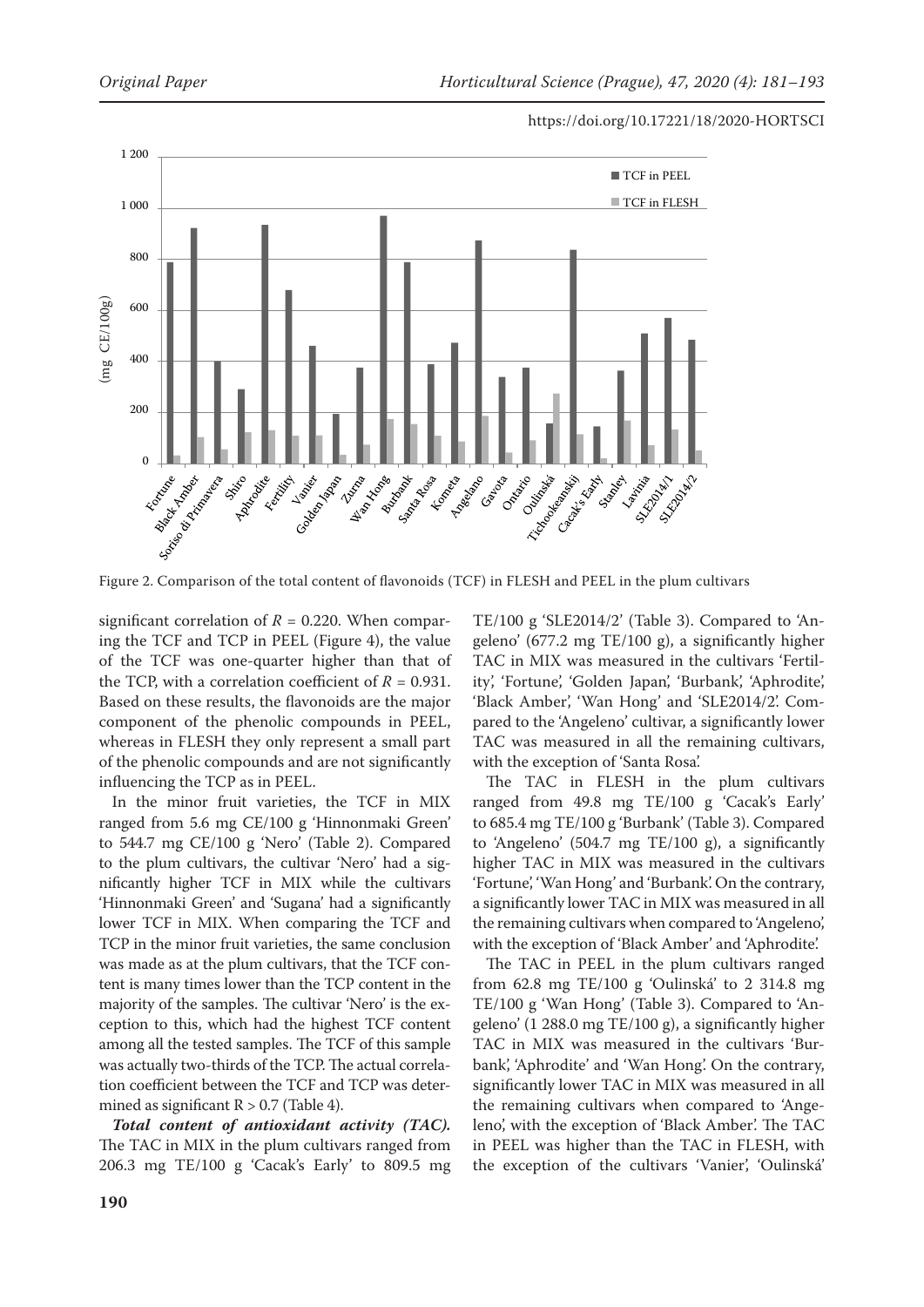

Figure 2. Comparison of the total content of flavonoids (TCF) in FLESH and PEEL in the plum cultivars

significant correlation of  $R = 0.220$ . When comparing the TCF and TCP in PEEL (Figure 4), the value of the TCF was one-quarter higher than that of the TCP, with a correlation coefficient of  $R = 0.931$ . Based on these results, the flavonoids are the major component of the phenolic compounds in PEEL, whereas in FLESH they only represent a small part of the phenolic compounds and are not significantly influencing the TCP as in PEEL.

In the minor fruit varieties, the TCF in MIX ranged from 5.6 mg CE/100 g 'Hinnonmaki Green' to 544.7 mg CE/100 g 'Nero' (Table 2). Compared to the plum cultivars, the cultivar 'Nero' had a significantly higher TCF in MIX while the cultivars 'Hinnonmaki Green' and 'Sugana' had a significantly lower TCF in MIX. When comparing the TCF and TCP in the minor fruit varieties, the same conclusion was made as at the plum cultivars, that the TCF content is many times lower than the TCP content in the majority of the samples. The cultivar 'Nero' is the exception to this, which had the highest TCF content among all the tested samples. The TCF of this sample was actually two-thirds of the TCP. The actual correlation coefficient between the TCF and TCP was determined as significant  $R > 0.7$  (Table 4).

*Total content of antioxidant activity (TAC).* The TAC in MIX in the plum cultivars ranged from 206.3 mg TE/100 g 'Cacak's Early' to 809.5 mg

TE/100 g 'SLE2014/2' (Table 3). Compared to 'Angeleno' (677.2 mg TE/100 g), a significantly higher TAC in MIX was measured in the cultivars 'Fertility', 'Fortune', 'Golden Japan', 'Burbank', 'Aphrodite', 'Black Amber', 'Wan Hong' and 'SLE2014/2'. Compared to the 'Angeleno' cultivar, a significantly lower TAC was measured in all the remaining cultivars, with the exception of 'Santa Rosa'.

The TAC in FLESH in the plum cultivars ranged from 49.8 mg TE/100 g 'Cacak's Early' to 685.4 mg TE/100 g 'Burbank' (Table 3). Compared to 'Angeleno' (504.7 mg TE/100 g), a significantly higher TAC in MIX was measured in the cultivars 'Fortune', 'Wan Hong' and 'Burbank'. On the contrary, a significantly lower TAC in MIX was measured in all the remaining cultivars when compared to 'Angeleno', with the exception of 'Black Amber' and 'Aphrodite'.

The TAC in PEEL in the plum cultivars ranged from 62.8 mg TE/100 g 'Oulinská' to 2 314.8 mg TE/100 g 'Wan Hong' (Table 3). Compared to 'Angeleno' (1 288.0 mg TE/100 g), a significantly higher TAC in MIX was measured in the cultivars 'Burbank', 'Aphrodite' and 'Wan Hong'. On the contrary, significantly lower TAC in MIX was measured in all the remaining cultivars when compared to 'Angeleno', with the exception of 'Black Amber'. The TAC in PEEL was higher than the TAC in FLESH, with the exception of the cultivars 'Vanier', 'Oulinská'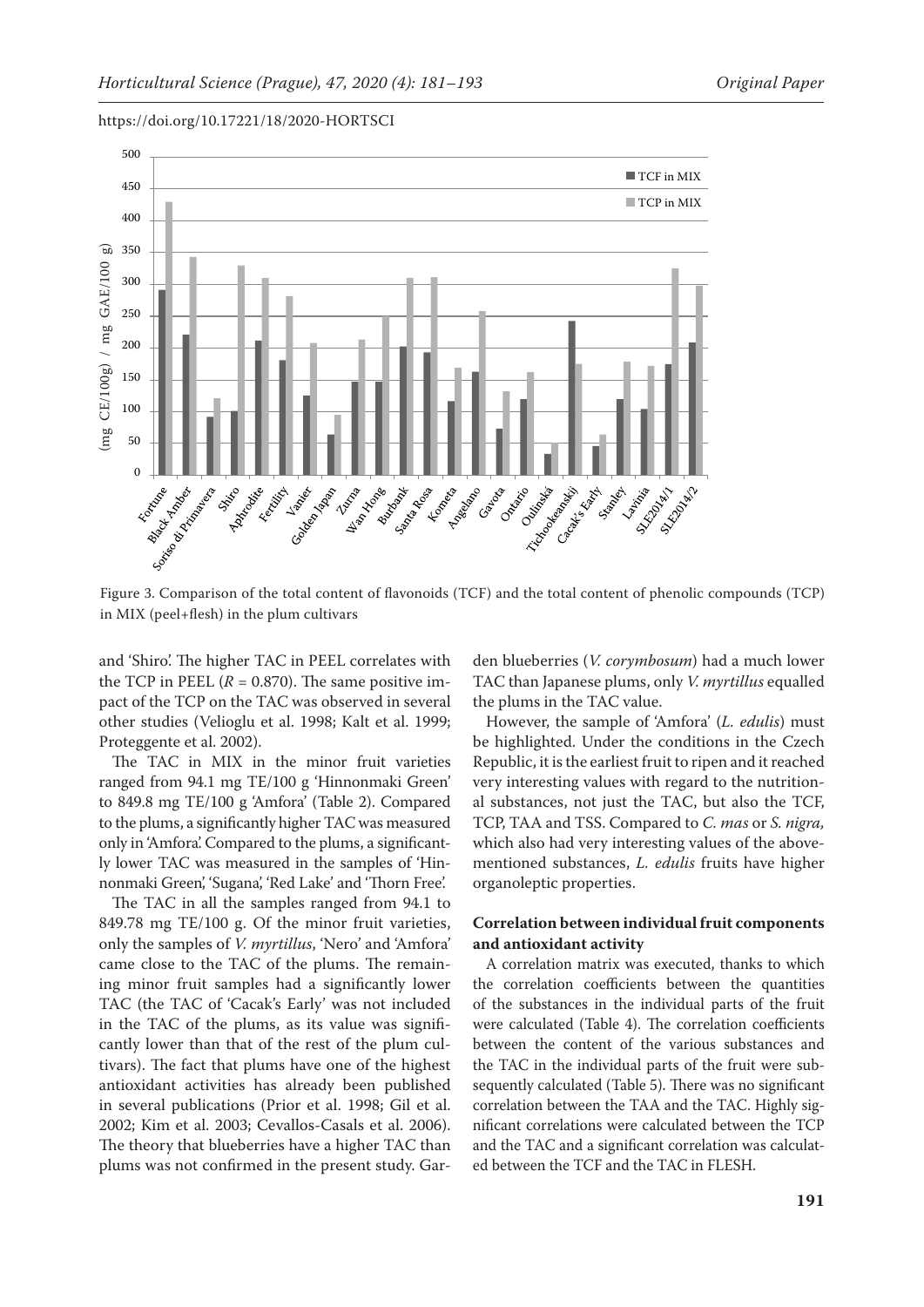

https://doi.org/10.17221/18/2020-HORTSCI

Figure 3. Comparison of the total content of flavonoids (TCF) and the total content of phenolic compounds (TCP) in MIX (peel+flesh) in the plum cultivars

and 'Shiro'. The higher TAC in PEEL correlates with the TCP in PEEL  $(R = 0.870)$ . The same positive impact of the TCP on the TAC was observed in several other studies (Velioglu et al. 1998; Kalt et al. 1999; Proteggente et al. 2002).

The TAC in MIX in the minor fruit varieties ranged from 94.1 mg TE/100 g 'Hinnonmaki Green' to 849.8 mg TE/100 g 'Amfora' (Table 2). Compared to the plums, a significantly higher TAC was measured only in 'Amfora'. Compared to the plums, a significantly lower TAC was measured in the samples of 'Hinnonmaki Green', 'Sugana', 'Red Lake' and 'Thorn Free'.

The TAC in all the samples ranged from 94.1 to 849.78 mg TE/100 g. Of the minor fruit varieties, only the samples of *V. myrtillus*, 'Nero' and 'Amfora' came close to the TAC of the plums. The remaining minor fruit samples had a significantly lower TAC (the TAC of 'Cacak's Early' was not included in the TAC of the plums, as its value was significantly lower than that of the rest of the plum cultivars). The fact that plums have one of the highest antioxidant activities has already been published in several publications (Prior et al. 1998; Gil et al. 2002; Kim et al. 2003; Cevallos-Casals et al. 2006). The theory that blueberries have a higher TAC than plums was not confirmed in the present study. Garden blueberries (*V. corymbosum*) had a much lower TAC than Japanese plums, only *V. myrtillus* equalled the plums in the TAC value.

However, the sample of 'Amfora' (*L. edulis*) must be highlighted. Under the conditions in the Czech Republic, it is the earliest fruit to ripen and it reached very interesting values with regard to the nutritional substances, not just the TAC, but also the TCF, TCP, TAA and TSS. Compared to *C. mas* or *S. nigra,*  which also had very interesting values of the abovementioned substances, *L. edulis* fruits have higher organoleptic properties.

# **Correlation between individual fruit components and antioxidant activity**

A correlation matrix was executed, thanks to which the correlation coefficients between the quantities of the substances in the individual parts of the fruit were calculated (Table 4). The correlation coefficients between the content of the various substances and the TAC in the individual parts of the fruit were subsequently calculated (Table 5). There was no significant correlation between the TAA and the TAC. Highly significant correlations were calculated between the TCP and the TAC and a significant correlation was calculated between the TCF and the TAC in FLESH.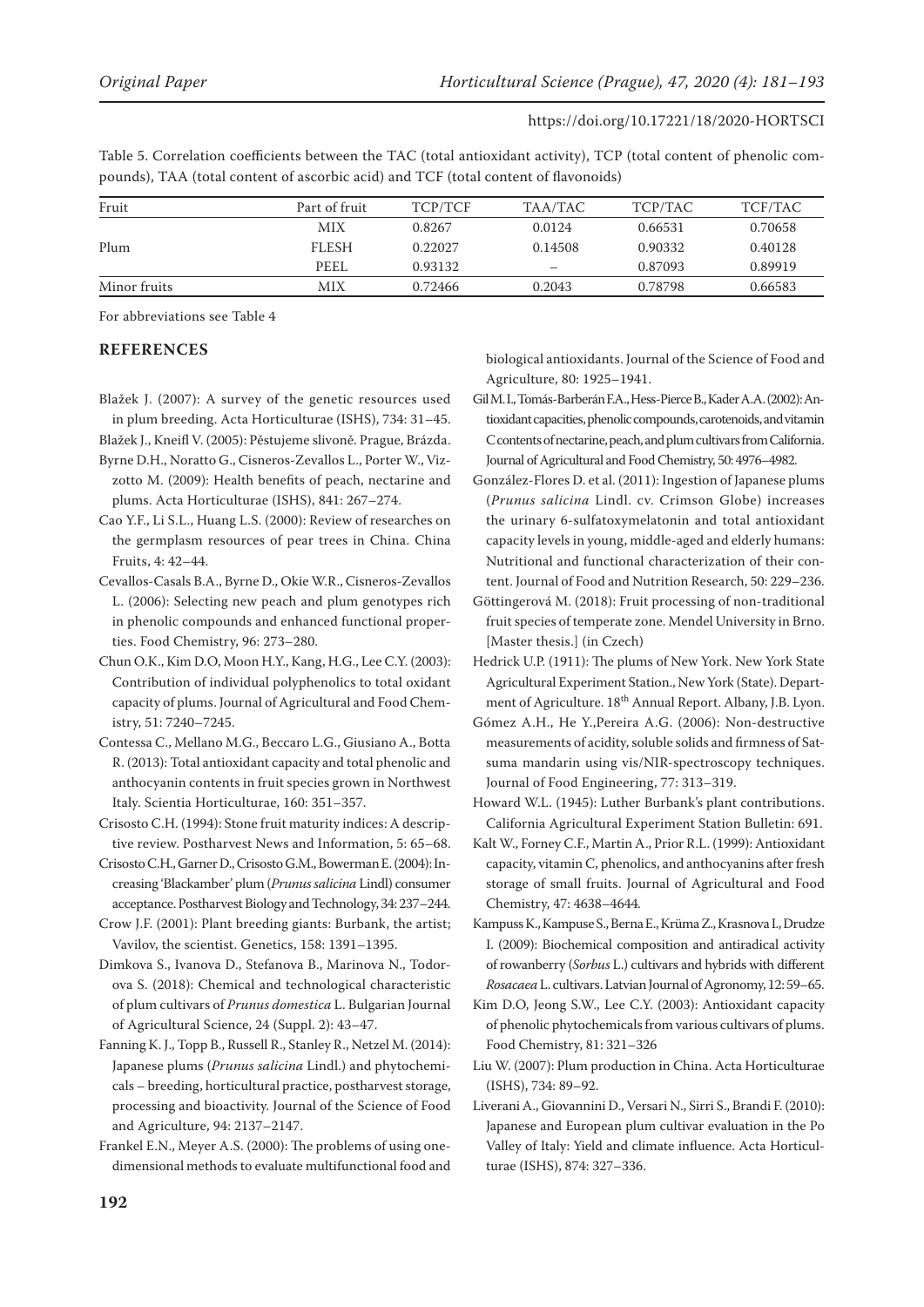Table 5. Correlation coefficients between the TAC (total antioxidant activity), TCP (total content of phenolic compounds), TAA (total content of ascorbic acid) and TCF (total content of flavonoids)

| Fruit        | Part of fruit | TCP/TCF | TAA/TAC | TCP/TAC | TCF/TAC |
|--------------|---------------|---------|---------|---------|---------|
|              | <b>MIX</b>    | 0.8267  | 0.0124  | 0.66531 | 0.70658 |
| Plum         | <b>FLESH</b>  | 0.22027 | 0.14508 | 0.90332 | 0.40128 |
|              | PEEL          | 0.93132 |         | 0.87093 | 0.89919 |
| Minor fruits | MIX           | 0.72466 | 0.2043  | 0.78798 | 0.66583 |

For abbreviations see Table 4

## **REFERENCES**

Blažek J. (2007): A survey of the genetic resources used in plum breeding. Acta Horticulturae (ISHS), 734: 31–45.

Blažek J., Kneifl V. (2005): Pěstujeme slivoně. Prague, Brázda.

- Byrne D.H., Noratto G., Cisneros-Zevallos L., Porter W., Vizzotto M. (2009): Health benefits of peach, nectarine and plums. Acta Horticulturae (ISHS), 841: 267–274.
- Cao Y.F., Li S.L., Huang L.S. (2000): Review of researches on the germplasm resources of pear trees in China. China Fruits, 4: 42–44.
- Cevallos-Casals B.A., Byrne D., Okie W.R., Cisneros-Zevallos L. (2006): Selecting new peach and plum genotypes rich in phenolic compounds and enhanced functional properties. Food Chemistry, 96: 273–280.
- Chun O.K., Kim D.O, Moon H.Y., Kang, H.G., Lee C.Y. (2003): Contribution of individual polyphenolics to total oxidant capacity of plums. Journal of Agricultural and Food Chemistry, 51: 7240–7245.

Contessa C., Mellano M.G., Beccaro L.G., Giusiano A., Botta R. (2013): Total antioxidant capacity and total phenolic and anthocyanin contents in fruit species grown in Northwest Italy. Scientia Horticulturae, 160: 351–357.

- Crisosto C.H. (1994): Stone fruit maturity indices: A descriptive review. Postharvest News and Information, 5: 65–68.
- Crisosto C.H., Garner D., Crisosto G.M., Bowerman E. (2004): Increasing 'Blackamber' plum (*Prunus salicina* Lindl) consumer acceptance. Postharvest Biology and Technology, 34: 237–244.
- Crow J.F. (2001): Plant breeding giants: Burbank, the artist; Vavilov, the scientist. Genetics, 158: 1391–1395.

Dimkova S., Ivanova D., Stefanova B., Marinova N., Todorova S. (2018): Chemical and technological characteristic of plum cultivars of *Prunus domestica* L. Bulgarian Journal of Agricultural Science, 24 (Suppl. 2): 43–47.

Fanning K. J., Topp B., Russell R., Stanley R., Netzel M. (2014): Japanese plums (*Prunus salicina* Lindl.) and phytochemicals – breeding, horticultural practice, postharvest storage, processing and bioactivity. Journal of the Science of Food and Agriculture, 94: 2137–2147.

Frankel E.N., Meyer A.S. (2000): The problems of using onedimensional methods to evaluate multifunctional food and biological antioxidants. Journal of the Science of Food and Agriculture, 80: 1925–1941.

- Gil M. I., Tomás-Barberán F.A., Hess-Pierce B., Kader A.A. (2002): Antioxidant capacities, phenolic compounds, carotenoids, and vitamin C contents of nectarine, peach, and plum cultivars from California. Journal of Agricultural and Food Chemistry, 50: 4976–4982.
- González-Flores D. et al. (2011): Ingestion of Japanese plums (*Prunus salicina* Lindl. cv. Crimson Globe) increases the urinary 6-sulfatoxymelatonin and total antioxidant capacity levels in young, middle-aged and elderly humans: Nutritional and functional characterization of their content. Journal of Food and Nutrition Research, 50: 229–236.
- Göttingerová M. (2018): Fruit processing of non-traditional fruit species of temperate zone. Mendel University in Brno. [Master thesis.] (in Czech)
- Hedrick U.P. (1911): The plums of New York. New York State Agricultural Experiment Station., New York (State). Department of Agriculture. 18<sup>th</sup> Annual Report. Albany, J.B. Lyon.
- Gómez A.H., He Y.,Pereira A.G. (2006): Non-destructive measurements of acidity, soluble solids and firmness of Satsuma mandarin using vis/NIR-spectroscopy techniques. Journal of Food Engineering, 77: 313–319.

Howard W.L. (1945): Luther Burbank's plant contributions. California Agricultural Experiment Station Bulletin: 691.

Kalt W., Forney C.F., Martin A., Prior R.L. (1999): Antioxidant capacity, vitamin C, phenolics, and anthocyanins after fresh storage of small fruits. Journal of Agricultural and Food Chemistry, 47: 4638–4644.

- Kampuss K., Kampuse S., Berna E., Krüma Z., Krasnova I., Drudze I. (2009): Biochemical composition and antiradical activity of rowanberry (*Sorbus* L.) cultivars and hybrids with different *Rosacaea* L. cultivars. Latvian Journal of Agronomy, 12: 59–65.
- Kim D.O, Jeong S.W., Lee C.Y. (2003): Antioxidant capacity of phenolic phytochemicals from various cultivars of plums. Food Chemistry, 81: 321–326
- Liu W. (2007): Plum production in China. Acta Horticulturae (ISHS), 734: 89–92.
- Liverani A., Giovannini D., Versari N., Sirri S., Brandi F. (2010): Japanese and European plum cultivar evaluation in the Po Valley of Italy: Yield and climate influence. Acta Horticulturae (ISHS), 874: 327–336.